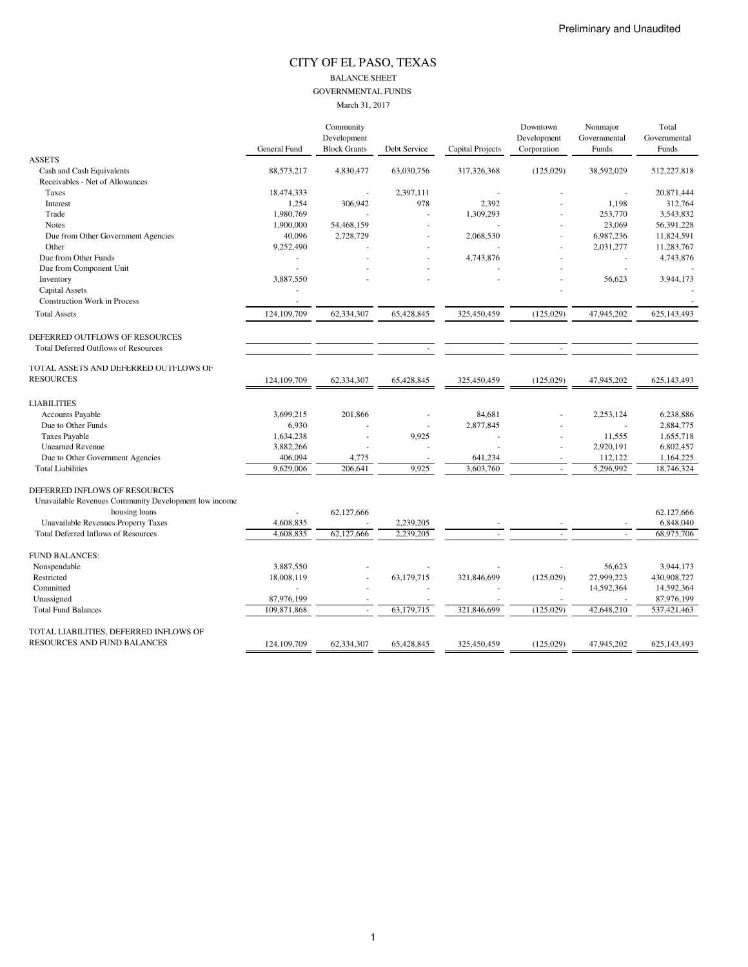#### CITY OF EL PASO, TEXAS BALANCE SHEET GOVERNMENTAL FUNDS March 31, 2017

|                                                       |              | Community           |              |                  | Downtown    | Nonmajor     | Total        |
|-------------------------------------------------------|--------------|---------------------|--------------|------------------|-------------|--------------|--------------|
|                                                       |              | Development         |              |                  | Development | Governmental | Governmental |
|                                                       | General Fund | <b>Block Grants</b> | Debt Service | Capital Projects | Corporation | Funds        | Funds        |
| <b>ASSETS</b>                                         |              |                     |              |                  |             |              |              |
| Cash and Cash Equivalents                             | 88,573,217   | 4,830,477           | 63,030,756   | 317,326,368      | (125,029)   | 38,592,029   | 512,227,818  |
| Receivables - Net of Allowances                       |              |                     |              |                  |             |              |              |
| Taxes                                                 | 18,474,333   |                     | 2,397,111    |                  |             |              | 20,871,444   |
| Interest                                              | 1,254        | 306,942             | 978          | 2,392            |             | 1,198        | 312,764      |
| Trade                                                 | 1,980,769    |                     |              | 1,309,293        |             | 253,770      | 3,543,832    |
| <b>Notes</b>                                          | 1,900,000    | 54,468,159          |              |                  |             | 23,069       | 56,391,228   |
| Due from Other Government Agencies                    | 40,096       | 2,728,729           |              | 2,068,530        |             | 6,987,236    | 11,824,591   |
| Other                                                 | 9,252,490    |                     |              |                  |             | 2,031,277    | 11,283,767   |
| Due from Other Funds                                  |              |                     |              | 4,743,876        |             |              | 4,743,876    |
| Due from Component Unit                               | ÷.           |                     |              |                  |             |              |              |
| Inventory                                             | 3,887,550    |                     |              |                  |             | 56,623       | 3,944,173    |
| <b>Capital Assets</b>                                 |              |                     |              |                  |             |              |              |
| <b>Construction Work in Process</b>                   | ÷.           |                     |              |                  |             |              |              |
| <b>Total Assets</b>                                   | 124,109,709  | 62,334,307          | 65,428,845   | 325,450,459      | (125, 029)  | 47,945,202   | 625,143,493  |
| DEFERRED OUTFLOWS OF RESOURCES                        |              |                     |              |                  |             |              |              |
| <b>Total Deferred Outflows of Resources</b>           |              |                     |              |                  |             |              |              |
|                                                       |              |                     |              |                  |             |              |              |
| TOTAL ASSETS AND DEFERRED OUTFLOWS OF                 |              |                     |              |                  |             |              |              |
| <b>RESOURCES</b>                                      | 124,109,709  | 62,334,307          | 65,428,845   | 325,450,459      | (125, 029)  | 47,945,202   | 625,143,493  |
| <b>LIABILITIES</b>                                    |              |                     |              |                  |             |              |              |
| <b>Accounts Payable</b>                               | 3,699,215    | 201,866             |              | 84,681           |             | 2,253,124    | 6,238,886    |
| Due to Other Funds                                    | 6,930        |                     |              | 2,877,845        |             |              | 2,884,775    |
| <b>Taxes Payable</b>                                  | 1,634,238    |                     | 9,925        |                  |             | 11,555       | 1,655,718    |
| <b>Unearned Revenue</b>                               | 3,882,266    |                     |              |                  |             | 2,920,191    | 6,802,457    |
| Due to Other Government Agencies                      | 406,094      | 4,775               |              | 641,234          |             | 112,122      | 1,164,225    |
| <b>Total Liabilities</b>                              | 9,629,006    | 206,641             | 9,925        | 3,603,760        |             | 5,296,992    | 18,746,324   |
|                                                       |              |                     |              |                  |             |              |              |
| DEFERRED INFLOWS OF RESOURCES                         |              |                     |              |                  |             |              |              |
| Unavailable Revenues Community Development low income |              |                     |              |                  |             |              |              |
| housing loans                                         |              | 62,127,666          |              |                  |             |              | 62,127,666   |
| <b>Unavailable Revenues Property Taxes</b>            | 4,608,835    |                     | 2,239,205    |                  |             |              | 6,848,040    |
| <b>Total Deferred Inflows of Resources</b>            | 4,608,835    | 62,127,666          | 2,239,205    |                  |             |              | 68,975,706   |
| <b>FUND BALANCES:</b>                                 |              |                     |              |                  |             |              |              |
| Nonspendable                                          | 3,887,550    |                     |              |                  |             | 56.623       | 3,944,173    |
| Restricted                                            | 18,008,119   |                     | 63,179,715   | 321,846,699      | (125, 029)  | 27,999,223   | 430,908,727  |
| Committed                                             |              |                     |              |                  |             | 14,592,364   | 14,592,364   |
| Unassigned                                            | 87,976,199   |                     |              |                  |             |              | 87,976,199   |
| <b>Total Fund Balances</b>                            | 109,871,868  |                     | 63,179,715   | 321,846,699      | (125,029)   | 42,648,210   | 537,421,463  |
| TOTAL LIABILITIES, DEFERRED INFLOWS OF                |              |                     |              |                  |             |              |              |
| RESOURCES AND FUND BALANCES                           | 124,109,709  | 62,334,307          | 65,428,845   | 325,450,459      | (125, 029)  | 47,945,202   | 625,143,493  |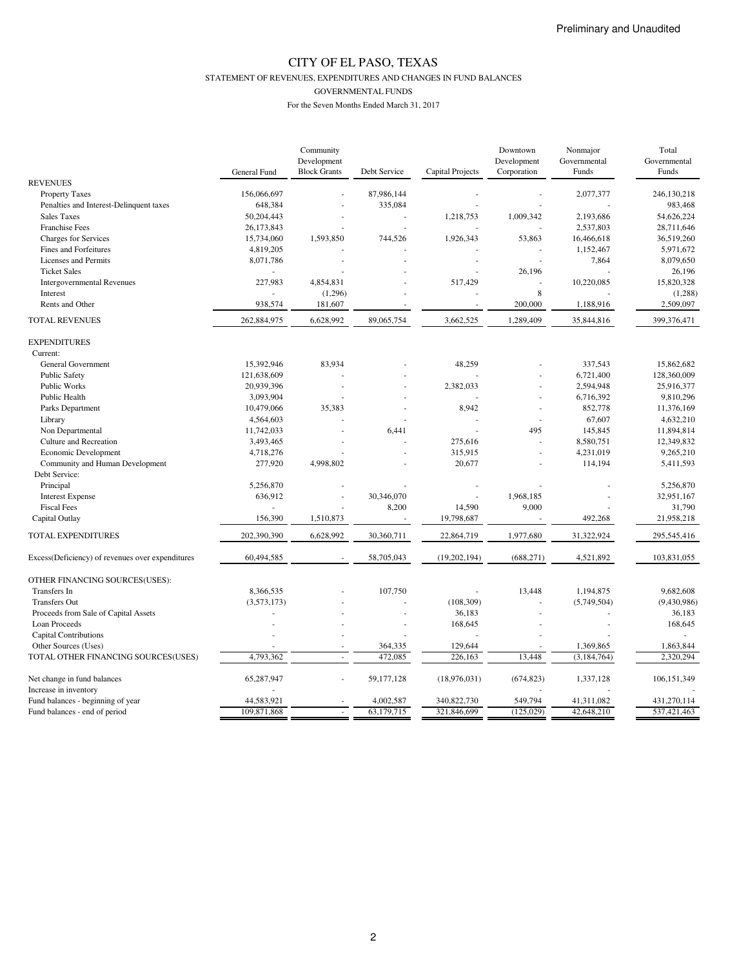STATEMENT OF REVENUES, EXPENDITURES AND CHANGES IN FUND BALANCES

GOVERNMENTAL FUNDS

|                                                  |              | Community           |              |                  | Downtown    | Nonmajor      | Total        |
|--------------------------------------------------|--------------|---------------------|--------------|------------------|-------------|---------------|--------------|
|                                                  |              | Development         |              |                  | Development | Governmental  | Governmental |
|                                                  | General Fund | <b>Block Grants</b> | Debt Service | Capital Projects | Corporation | Funds         | Funds        |
| <b>REVENUES</b>                                  |              |                     |              |                  |             |               |              |
| <b>Property Taxes</b>                            | 156,066,697  |                     | 87,986,144   |                  |             | 2,077,377     | 246,130,218  |
| Penalties and Interest-Delinquent taxes          | 648,384      |                     | 335,084      |                  |             |               | 983,468      |
| <b>Sales Taxes</b>                               | 50,204,443   |                     |              | 1,218,753        | 1,009,342   | 2,193,686     | 54,626,224   |
| <b>Franchise Fees</b>                            | 26,173,843   |                     |              |                  |             | 2,537,803     | 28,711,646   |
| Charges for Services                             | 15,734,060   | 1,593,850           | 744,526      | 1,926,343        | 53,863      | 16,466,618    | 36,519,260   |
| Fines and Forfeitures                            | 4,819,205    |                     |              |                  |             | 1,152,467     | 5,971,672    |
| Licenses and Permits                             | 8,071,786    | ÷                   |              | $\overline{a}$   |             | 7,864         | 8,079,650    |
| <b>Ticket Sales</b>                              |              |                     |              |                  | 26,196      |               | 26,196       |
| <b>Intergovernmental Revenues</b>                | 227,983      | 4,854,831           |              | 517,429          |             | 10,220,085    | 15,820,328   |
| Interest                                         |              | (1,296)             |              |                  | 8           |               | (1,288)      |
| Rents and Other                                  | 938,574      | 181,607             |              |                  | 200,000     | 1,188,916     | 2,509,097    |
| <b>TOTAL REVENUES</b>                            | 262,884,975  | 6,628,992           | 89,065,754   | 3,662,525        | 1,289,409   | 35,844,816    | 399,376,471  |
| <b>EXPENDITURES</b>                              |              |                     |              |                  |             |               |              |
| Current:                                         |              |                     |              |                  |             |               |              |
| General Government                               | 15,392,946   | 83,934              |              | 48,259           |             | 337,543       | 15,862,682   |
| <b>Public Safety</b>                             | 121,638,609  |                     |              |                  |             | 6,721,400     | 128,360,009  |
| Public Works                                     | 20,939,396   | ÷                   |              | 2,382,033        |             | 2,594,948     | 25,916,377   |
| Public Health                                    | 3,093,904    |                     |              |                  |             | 6,716,392     | 9,810,296    |
| Parks Department                                 | 10,479,066   | 35,383              |              | 8,942            |             | 852,778       | 11,376,169   |
| Library                                          | 4,564,603    |                     |              |                  |             | 67,607        | 4,632,210    |
| Non Departmental                                 | 11,742,033   |                     | 6,441        |                  | 495         | 145,845       | 11,894,814   |
| Culture and Recreation                           | 3,493,465    |                     |              | 275,616          | ÷,          | 8,580,751     | 12,349,832   |
| Economic Development                             | 4,718,276    |                     |              | 315,915          |             | 4,231,019     | 9,265,210    |
|                                                  | 277,920      | 4,998,802           |              | 20,677           |             |               | 5,411,593    |
| Community and Human Development                  |              |                     |              |                  |             | 114,194       |              |
| Debt Service:                                    |              |                     |              |                  |             |               |              |
| Principal                                        | 5,256,870    |                     |              |                  |             |               | 5,256,870    |
| <b>Interest Expense</b>                          | 636,912      | ÷,                  | 30,346,070   |                  | 1,968,185   |               | 32,951,167   |
| <b>Fiscal Fees</b>                               |              |                     | 8,200        | 14,590           | 9,000       |               | 31,790       |
| Capital Outlay                                   | 156,390      | 1,510,873           |              | 19,798,687       |             | 492,268       | 21,958,218   |
| TOTAL EXPENDITURES                               | 202,390,390  | 6,628,992           | 30,360,711   | 22,864,719       | 1,977,680   | 31,322,924    | 295,545,416  |
| Excess(Deficiency) of revenues over expenditures | 60,494,585   |                     | 58,705,043   | (19,202,194)     | (688, 271)  | 4,521,892     | 103,831,055  |
| OTHER FINANCING SOURCES(USES):                   |              |                     |              |                  |             |               |              |
| Transfers In                                     | 8,366,535    |                     | 107,750      |                  | 13,448      | 1,194,875     | 9,682,608    |
| <b>Transfers Out</b>                             | (3,573,173)  |                     |              | (108, 309)       |             | (5,749,504)   | (9,430,986)  |
| Proceeds from Sale of Capital Assets             |              |                     |              | 36,183           |             |               | 36,183       |
| Loan Proceeds                                    |              |                     |              | 168,645          |             |               | 168,645      |
| <b>Capital Contributions</b>                     |              |                     |              |                  |             |               |              |
| Other Sources (Uses)                             |              |                     | 364,335      | 129,644          |             | 1,369,865     | 1,863,844    |
| TOTAL OTHER FINANCING SOURCES(USES)              | 4,793,362    |                     | 472,085      | 226,163          | 13,448      | (3, 184, 764) | 2,320,294    |
|                                                  |              |                     |              |                  |             |               |              |
| Net change in fund balances                      | 65,287,947   |                     | 59,177,128   | (18,976,031)     | (674, 823)  | 1,337,128     | 106,151,349  |
| Increase in inventory                            |              |                     |              |                  |             |               |              |
| Fund balances - beginning of year                | 44,583,921   |                     | 4,002,587    | 340,822,730      | 549.794     | 41.311.082    | 431.270.114  |
| Fund balances - end of period                    | 109,871,868  |                     | 63,179,715   | 321,846,699      | (125,029)   | 42,648,210    | 537,421,463  |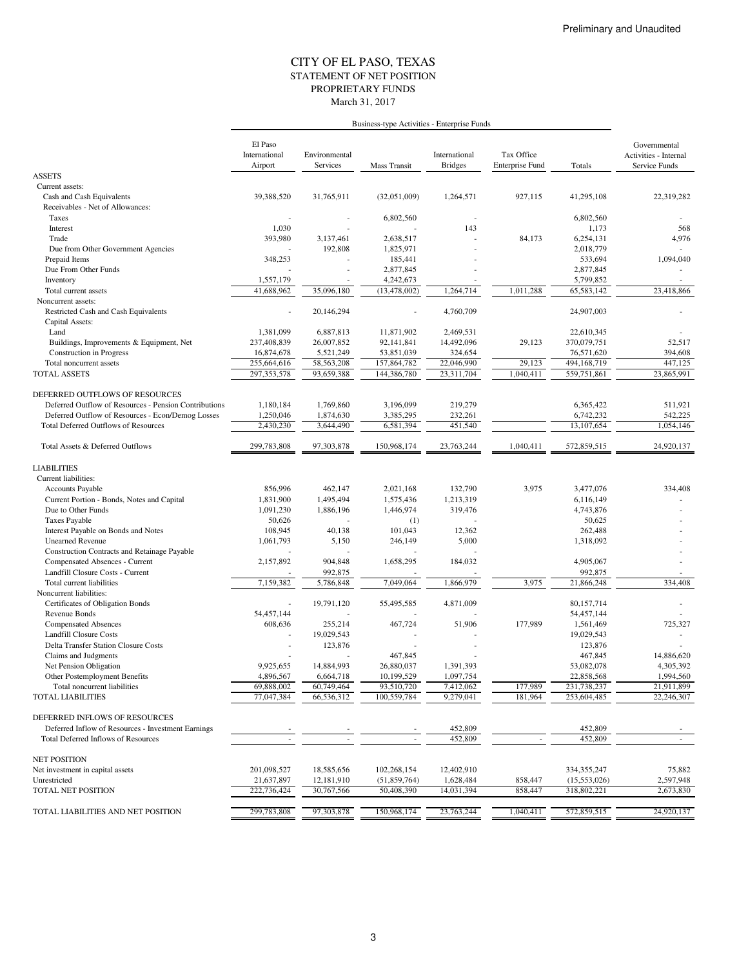#### STATEMENT OF NET POSITION CITY OF EL PASO, TEXAS March 31, 2017 PROPRIETARY FUNDS

|                                                                    |                                     |                           | Business-type Activities - Enterprise Funds |                                 |                                      |                      |                                                        |
|--------------------------------------------------------------------|-------------------------------------|---------------------------|---------------------------------------------|---------------------------------|--------------------------------------|----------------------|--------------------------------------------------------|
|                                                                    | El Paso<br>International<br>Airport | Environmental<br>Services | <b>Mass Transit</b>                         | International<br><b>Bridges</b> | Tax Office<br><b>Enterprise Fund</b> | Totals               | Governmental<br>Activities - Internal<br>Service Funds |
| <b>ASSETS</b>                                                      |                                     |                           |                                             |                                 |                                      |                      |                                                        |
| Current assets:                                                    |                                     |                           |                                             |                                 |                                      |                      |                                                        |
| Cash and Cash Equivalents                                          | 39,388,520                          | 31,765,911                | (32,051,009)                                | 1,264,571                       | 927,115                              | 41,295,108           | 22,319,282                                             |
| Receivables - Net of Allowances:                                   |                                     |                           |                                             |                                 |                                      |                      |                                                        |
| Taxes                                                              |                                     |                           | 6,802,560                                   |                                 |                                      | 6,802,560            |                                                        |
| Interest                                                           | 1,030                               |                           |                                             | 143                             |                                      | 1,173                | 568                                                    |
| Trade                                                              | 393,980                             | 3,137,461                 | 2.638.517                                   |                                 | 84,173                               | 6,254,131            | 4,976                                                  |
| Due from Other Government Agencies                                 | 348,253                             | 192,808                   | 1,825,971<br>185,441                        |                                 |                                      | 2,018,779<br>533,694 | 1,094,040                                              |
| Prepaid Items<br>Due From Other Funds                              |                                     |                           | 2,877,845                                   |                                 |                                      | 2,877,845            |                                                        |
| Inventory                                                          | 1,557,179                           |                           | 4,242,673                                   |                                 |                                      | 5,799,852            |                                                        |
| Total current assets                                               | 41,688,962                          | 35,096,180                | (13, 478, 002)                              | 1,264,714                       | 1,011,288                            | 65,583,142           | 23,418,866                                             |
| Noncurrent assets:                                                 |                                     |                           |                                             |                                 |                                      |                      |                                                        |
| Restricted Cash and Cash Equivalents                               |                                     | 20,146,294                |                                             | 4,760,709                       |                                      | 24,907,003           |                                                        |
| Capital Assets:                                                    |                                     |                           |                                             |                                 |                                      |                      |                                                        |
| Land                                                               | 1,381,099                           | 6,887,813                 | 11,871,902                                  | 2,469,531                       |                                      | 22,610,345           |                                                        |
| Buildings, Improvements & Equipment, Net                           | 237,408,839                         | 26,007,852                | 92,141,841                                  | 14,492,096                      | 29,123                               | 370,079,751          | 52,517                                                 |
| <b>Construction</b> in Progress                                    | 16,874,678                          | 5,521,249                 | 53,851,039                                  | 324,654                         |                                      | 76,571,620           | 394,608                                                |
| Total noncurrent assets                                            | 255,664,616                         | 58,563,208                | 157,864,782                                 | 22,046,990                      | 29,123                               | 494,168,719          | 447,125                                                |
| <b>TOTAL ASSETS</b>                                                | 297, 353, 578                       | 93,659,388                | 144,386,780                                 | 23,311,704                      | 1,040,411                            | 559,751,861          | 23,865,991                                             |
|                                                                    |                                     |                           |                                             |                                 |                                      |                      |                                                        |
| DEFERRED OUTFLOWS OF RESOURCES                                     |                                     |                           |                                             |                                 |                                      |                      |                                                        |
| Deferred Outflow of Resources - Pension Contributions              | 1,180,184                           | 1,769,860                 | 3,196,099                                   | 219,279                         |                                      | 6,365,422            | 511,921                                                |
| Deferred Outflow of Resources - Econ/Demog Losses                  | 1,250,046                           | 1,874,630                 | 3,385,295                                   | 232,261                         |                                      | 6,742,232            | 542,225                                                |
| <b>Total Deferred Outflows of Resources</b>                        | 2,430,230                           | 3,644,490                 | 6,581,394                                   | $\overline{451,540}$            |                                      | 13,107,654           | 1,054,146                                              |
| Total Assets & Deferred Outflows                                   | 299,783,808                         | 97,303,878                | 150,968,174                                 | 23,763,244                      | 1,040,411                            | 572,859,515          | 24,920,137                                             |
|                                                                    |                                     |                           |                                             |                                 |                                      |                      |                                                        |
| <b>LIABILITIES</b>                                                 |                                     |                           |                                             |                                 |                                      |                      |                                                        |
| Current liabilities:                                               |                                     |                           |                                             |                                 |                                      |                      |                                                        |
| <b>Accounts Payable</b>                                            | 856,996                             | 462,147                   | 2,021,168                                   | 132,790                         | 3,975                                | 3,477,076            | 334,408                                                |
| Current Portion - Bonds, Notes and Capital                         | 1,831,900                           | 1,495,494                 | 1,575,436                                   | 1,213,319                       |                                      | 6,116,149            |                                                        |
| Due to Other Funds                                                 | 1,091,230                           | 1,886,196                 | 1,446,974                                   | 319,476                         |                                      | 4,743,876            |                                                        |
| <b>Taxes Payable</b>                                               | 50,626                              |                           | (1)                                         |                                 |                                      | 50,625               |                                                        |
| Interest Payable on Bonds and Notes                                | 108,945                             | 40,138                    | 101,043                                     | 12,362                          |                                      | 262,488              |                                                        |
| <b>Unearned Revenue</b>                                            | 1,061,793                           | 5,150                     | 246,149                                     | 5,000                           |                                      | 1,318,092            |                                                        |
| <b>Construction Contracts and Retainage Payable</b>                |                                     |                           |                                             |                                 |                                      |                      |                                                        |
| Compensated Absences - Current<br>Landfill Closure Costs - Current | 2,157,892                           | 904,848<br>992,875        | 1,658,295                                   | 184,032                         |                                      | 4,905,067<br>992,875 |                                                        |
| Total current liabilities                                          | 7,159,382                           | 5,786,848                 | 7,049,064                                   | 1,866,979                       | 3,975                                | 21,866,248           | 334,408                                                |
| Noncurrent liabilities:                                            |                                     |                           |                                             |                                 |                                      |                      |                                                        |
| Certificates of Obligation Bonds                                   |                                     | 19,791,120                | 55,495,585                                  | 4,871,009                       |                                      | 80,157,714           |                                                        |
| Revenue Bonds                                                      | 54,457,144                          |                           |                                             |                                 |                                      | 54,457,144           |                                                        |
| <b>Compensated Absences</b>                                        | 608,636                             | 255,214                   | 467,724                                     | 51,906                          | 177,989                              | 1,561,469            | 725,327                                                |
| <b>Landfill Closure Costs</b>                                      |                                     | 19,029,543                |                                             |                                 |                                      | 19,029,543           |                                                        |
| <b>Delta Transfer Station Closure Costs</b>                        |                                     | 123,876                   |                                             |                                 |                                      | 123,876              |                                                        |
| Claims and Judgments                                               |                                     |                           | 467,845                                     |                                 |                                      | 467,845              | 14,886,620                                             |
| Net Pension Obligation                                             | 9,925,655                           | 14,884,993                | 26,880,037                                  | 1,391,393                       |                                      | 53,082,078           | 4,305,392                                              |
| Other Postemployment Benefits                                      | 4,896,567                           | 6,664,718                 | 10,199,529                                  | 1,097,754                       |                                      | 22,858,568           | 1,994,560                                              |
| Total noncurrent liabilities                                       | 69,888,002                          | 60,749,464                | 93,510,720                                  | 7,412,062                       | 177,989                              | 231,738,237          | 21,911,899                                             |
| <b>TOTAL LIABILITIES</b>                                           | 77,047,384                          | 66,536,312                | 100,559,784                                 | 9,279,041                       | 181,964                              | 253,604,485          | 22,246,307                                             |
| DEFERRED INFLOWS OF RESOURCES                                      |                                     |                           |                                             |                                 |                                      |                      |                                                        |
| Deferred Inflow of Resources - Investment Earnings                 |                                     |                           |                                             | 452,809                         |                                      | 452,809              |                                                        |
| Total Deferred Inflows of Resources                                |                                     |                           |                                             | 452,809                         |                                      | 452,809              | $\sim$                                                 |
| <b>NET POSITION</b>                                                |                                     |                           |                                             |                                 |                                      |                      |                                                        |
| Net investment in capital assets                                   | 201,098,527                         | 18,585,656                | 102,268,154                                 | 12,402,910                      |                                      | 334, 355, 247        | 75,882                                                 |
| Unrestricted                                                       | 21,637,897                          | 12,181,910                | (51,859,764)                                | 1,628,484                       | 858,447                              | (15, 553, 026)       | 2,597,948                                              |
| TOTAL NET POSITION                                                 | 222,736,424                         | 30,767,566                | 50,408,390                                  | 14,031,394                      | 858,447                              | 318,802,221          | 2,673,830                                              |
|                                                                    |                                     |                           |                                             |                                 |                                      |                      |                                                        |
| TOTAL LIABILITIES AND NET POSITION                                 | 299,783,808                         | 97,303,878                | 150,968,174                                 | 23,763,244                      | 1,040,411                            | 572,859,515          | 24,920,137                                             |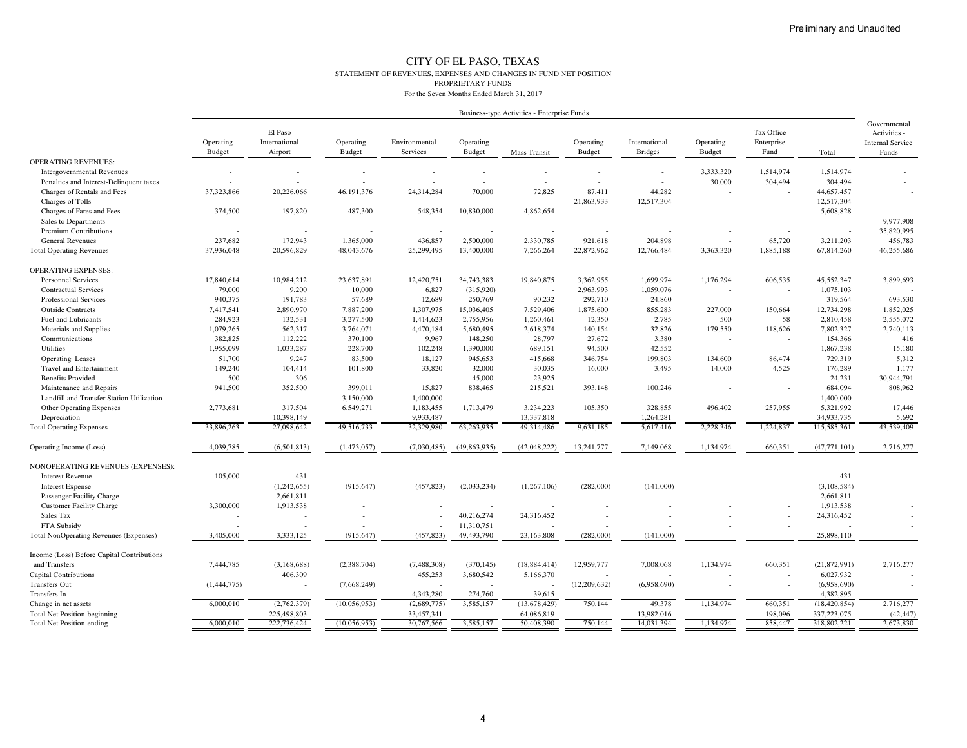#### CITY OF EL PASO, TEXAS STATEMENT OF REVENUES, EXPENSES AND CHANGES IN FUND NET POSITIONPROPRIETARY FUNDSFor the Seven Months Ended March 31, 2017

| Governmental<br>El Paso<br>Tax Office<br>Activities -<br>Operating<br>International<br>Environmental<br>Operating<br>Operating<br>International<br>Operating<br>Operating<br>Enterprise<br><b>Internal Service</b><br>Budget<br>Airport<br>Budget<br>Services<br><b>Budget</b><br><b>Budget</b><br><b>Bridges</b><br><b>Budget</b><br>Fund<br>Funds<br>Mass Transit<br>Total<br><b>OPERATING REVENUES:</b><br>3,333,320<br>1,514,974<br>1,514,974<br><b>Intergovernmental Revenues</b><br>$\overline{\phantom{a}}$<br>$\overline{a}$<br>30,000<br>304,494<br>304,494<br>Penalties and Interest-Delinquent taxes<br>$\overline{a}$<br>72,825<br>44.282<br>Charges of Rentals and Fees<br>46, 191, 376<br>24,314,284<br>70,000<br>87,411<br>44,657,457<br>37,323,866<br>20,226,066<br>21,863,933<br>12,517,304<br>12,517,304<br>Charges of Tolls<br>Charges of Fares and Fees<br>374,500<br>197,820<br>487,300<br>548,354<br>10,830,000<br>4,862,654<br>5,608,828<br>9,977,908<br>Sales to Departments<br>35,820,995<br>Premium Contributions<br>$\overline{\phantom{a}}$<br>$\overline{a}$<br><b>General Revenues</b><br>237,682<br>172,943<br>1,365,000<br>436,857<br>2,500,000<br>2,330,785<br>204,898<br>65,720<br>456,783<br>921,618<br>3,211,203<br>37,936,048<br>20,596,829<br>25.299.495<br>13,400,000<br>22,872,962<br>12,766,484<br>3.363.320<br>1.885.188<br>67,814,260<br>46.255.686<br>48,043,676<br>7.266.264<br><b>Total Operating Revenues</b><br><b>OPERATING EXPENSES:</b><br>17,840,614<br>10,984,212<br>23,637,891<br>12,420,751<br>34,743,383<br>19,840,875<br>3,362,955<br>1,699,974<br>1,176,294<br>606,535<br>45,552,347<br>3,899,693<br><b>Personnel Services</b><br>79,000<br>9,200<br>6,827<br>(315,920)<br>2,963,993<br>1,059,076<br>1,075,103<br><b>Contractual Services</b><br>10,000<br>$\overline{\phantom{a}}$<br>940,375<br>191,783<br>12,689<br>90,232<br>693,530<br><b>Professional Services</b><br>57,689<br>250,769<br>292,710<br>24,860<br>319,564<br>7,417,541<br>7,887,200<br>1,307,975<br>15,036,405<br>7,529,406<br>1,875,600<br>855,283<br>227,000<br>12,734,298<br>1,852,025<br><b>Outside Contracts</b><br>2,890,970<br>150,664<br>58<br>2,555,072<br>Fuel and Lubricants<br>284,923<br>132,531<br>3,277,500<br>1,414,623<br>2,755,956<br>1,260,461<br>12,350<br>2,785<br>500<br>2,810,458<br>1,079,265<br>562,317<br>2,618,374<br>140,154<br>32,826<br>179,550<br>118,626<br>7,802,327<br>2,740,113<br>Materials and Supplies<br>3,764,071<br>4,470,184<br>5,680,495<br>382,825<br>112,222<br>3,380<br>416<br>Communications<br>370,100<br>9,967<br>148,250<br>28,797<br>27,672<br>154,366<br><b>Utilities</b><br>1,955,099<br>1,033,287<br>228,700<br>102,248<br>689,151<br>94,500<br>42,552<br>1,867,238<br>15,180<br>1,390,000<br>51,700<br>83,500<br>18,127<br>346,754<br>199,803<br>729,319<br>5,312<br>Operating Leases<br>9,247<br>945,653<br>415,668<br>134,600<br>86,474<br>149,240<br>1,177<br><b>Travel and Entertainment</b><br>104,414<br>101,800<br>33,820<br>32,000<br>30,035<br>16,000<br>3,495<br>14,000<br>4,525<br>176,289<br>500<br>306<br><b>Benefits Provided</b><br>45,000<br>23,925<br>24,231<br>30,944,791<br>15,827<br>808,962<br>941,500<br>352,500<br>399,011<br>838,465<br>215,521<br>393,148<br>100,246<br>684,094<br>Maintenance and Repairs<br>$\sim$<br>3,150,000<br>1,400,000<br>1,400,000<br>Landfill and Transfer Station Utilization<br>$\overline{\phantom{a}}$<br>317.504<br>6,549,271<br>1,713,479<br>3,234,223<br>105,350<br>328,855<br>257,955<br>5,321,992<br>17,446<br><b>Other Operating Expenses</b><br>2,773,681<br>1,183,455<br>496,402<br>10,398,149<br>9,933,487<br>13,337,818<br>34,933,735<br>5,692<br>Depreciation<br>1,264,281<br>27,098,642<br>49,516,733<br>32,329,980<br>63,263,935<br>49,314,486<br>2,228,346<br>1,224,837<br>115,585,361<br>43,539,409<br><b>Total Operating Expenses</b><br>33,896,263<br>9,631,185<br>5,617,416<br>2,716,277<br>4,039,785<br>(6,501,813)<br>(1,473,057)<br>(7,030,485)<br>(49,863,935)<br>(42,048,222)<br>13,241,777<br>7,149,068<br>1,134,974<br>660,351<br>(47, 771, 101)<br>Operating Income (Loss)<br>NONOPERATING REVENUES (EXPENSES):<br>431<br><b>Interest Revenue</b><br>105,000<br>431<br>(457, 823)<br>(282,000)<br>(141,000)<br>(1,242,655)<br>(915, 647)<br>(2,033,234)<br>(1, 267, 106)<br>(3, 108, 584)<br><b>Interest Expense</b><br>2,661,811<br>2,661,811<br>Passenger Facility Charge<br><b>Customer Facility Charge</b><br>3,300,000<br>1,913,538<br>1,913,538<br>Sales Tax<br>24,316,452<br>24,316,452<br>40,216,274<br>FTA Subsidy<br>11,310,751<br>3,333,125<br>3,405,000<br>(915, 647)<br>(457, 823)<br>49,493,790<br>23,163,808<br>(282,000)<br>(141,000)<br>25,898,110<br><b>Total NonOperating Revenues (Expenses)</b><br>$\sim$<br>$\sim$<br>Income (Loss) Before Capital Contributions<br>and Transfers<br>7,444,785<br>(3,168,688)<br>(2,388,704)<br>(7,488,308)<br>(370, 145)<br>(18, 884, 414)<br>12,959,777<br>7,008,068<br>1,134,974<br>660.351<br>(21,872,991)<br>2,716,277<br>406,309<br>455,253<br>3,680,542<br>6,027,932<br><b>Capital Contributions</b><br>5,166,370<br><b>Transfers Out</b><br>(1,444,775)<br>(7,668,249)<br>(12,209,632)<br>(6,958,690)<br>(6,958,690)<br>$\overline{a}$<br>4,382,895<br>Transfers In<br>4,343,280<br>274,760<br>39,615<br>2,716,277<br>6,000,010<br>(2,762,379)<br>(10,056,953)<br>(2,689,775)<br>3,585,157<br>(13, 678, 429)<br>750,144<br>49,378<br>1,134,974<br>660,351<br>(18, 420, 854)<br>Change in net assets<br>(42, 447)<br><b>Total Net Position-beginning</b><br>225,498,803<br>33,457,341<br>64,086,819<br>13,982,016<br>198,096<br>337,223,075<br>2,673,830<br>6,000,010<br>222,736,424<br>(10,056,953)<br>30,767,566<br>3,585,157<br>50,408,390<br>750,144<br>14,031,394<br>1,134,974<br>858,447<br>318,802,221<br><b>Total Net Position-ending</b> |  |  |  | Business-type Activities - Enterprise Funds |  |  |  |  |
|--------------------------------------------------------------------------------------------------------------------------------------------------------------------------------------------------------------------------------------------------------------------------------------------------------------------------------------------------------------------------------------------------------------------------------------------------------------------------------------------------------------------------------------------------------------------------------------------------------------------------------------------------------------------------------------------------------------------------------------------------------------------------------------------------------------------------------------------------------------------------------------------------------------------------------------------------------------------------------------------------------------------------------------------------------------------------------------------------------------------------------------------------------------------------------------------------------------------------------------------------------------------------------------------------------------------------------------------------------------------------------------------------------------------------------------------------------------------------------------------------------------------------------------------------------------------------------------------------------------------------------------------------------------------------------------------------------------------------------------------------------------------------------------------------------------------------------------------------------------------------------------------------------------------------------------------------------------------------------------------------------------------------------------------------------------------------------------------------------------------------------------------------------------------------------------------------------------------------------------------------------------------------------------------------------------------------------------------------------------------------------------------------------------------------------------------------------------------------------------------------------------------------------------------------------------------------------------------------------------------------------------------------------------------------------------------------------------------------------------------------------------------------------------------------------------------------------------------------------------------------------------------------------------------------------------------------------------------------------------------------------------------------------------------------------------------------------------------------------------------------------------------------------------------------------------------------------------------------------------------------------------------------------------------------------------------------------------------------------------------------------------------------------------------------------------------------------------------------------------------------------------------------------------------------------------------------------------------------------------------------------------------------------------------------------------------------------------------------------------------------------------------------------------------------------------------------------------------------------------------------------------------------------------------------------------------------------------------------------------------------------------------------------------------------------------------------------------------------------------------------------------------------------------------------------------------------------------------------------------------------------------------------------------------------------------------------------------------------------------------------------------------------------------------------------------------------------------------------------------------------------------------------------------------------------------------------------------------------------------------------------------------------------------------------------------------------------------------------------------------------------------------------------------------------------------------------------------------------------------------------------------------------------------------------------------------------------------------------------------------------------------------------------------------------------------------------------------------------------------------------------------------------------------------------------------------------------------------------------------------------------------------------------------------------------------------------------------------------------------------------------------------------------------------------------------------------------------------------------------------------------------------------------------------------------------------------------------------------------------------------------------------------------------------------------------------------------------------------------------------------------------------------------------------------------------------------------------------------------------------------------------|--|--|--|---------------------------------------------|--|--|--|--|
|                                                                                                                                                                                                                                                                                                                                                                                                                                                                                                                                                                                                                                                                                                                                                                                                                                                                                                                                                                                                                                                                                                                                                                                                                                                                                                                                                                                                                                                                                                                                                                                                                                                                                                                                                                                                                                                                                                                                                                                                                                                                                                                                                                                                                                                                                                                                                                                                                                                                                                                                                                                                                                                                                                                                                                                                                                                                                                                                                                                                                                                                                                                                                                                                                                                                                                                                                                                                                                                                                                                                                                                                                                                                                                                                                                                                                                                                                                                                                                                                                                                                                                                                                                                                                                                                                                                                                                                                                                                                                                                                                                                                                                                                                                                                                                                                                                                                                                                                                                                                                                                                                                                                                                                                                                                                                                                                                                                                                                                                                                                                                                                                                                                                                                                                                                                                                                                                                      |  |  |  |                                             |  |  |  |  |
|                                                                                                                                                                                                                                                                                                                                                                                                                                                                                                                                                                                                                                                                                                                                                                                                                                                                                                                                                                                                                                                                                                                                                                                                                                                                                                                                                                                                                                                                                                                                                                                                                                                                                                                                                                                                                                                                                                                                                                                                                                                                                                                                                                                                                                                                                                                                                                                                                                                                                                                                                                                                                                                                                                                                                                                                                                                                                                                                                                                                                                                                                                                                                                                                                                                                                                                                                                                                                                                                                                                                                                                                                                                                                                                                                                                                                                                                                                                                                                                                                                                                                                                                                                                                                                                                                                                                                                                                                                                                                                                                                                                                                                                                                                                                                                                                                                                                                                                                                                                                                                                                                                                                                                                                                                                                                                                                                                                                                                                                                                                                                                                                                                                                                                                                                                                                                                                                                      |  |  |  |                                             |  |  |  |  |
|                                                                                                                                                                                                                                                                                                                                                                                                                                                                                                                                                                                                                                                                                                                                                                                                                                                                                                                                                                                                                                                                                                                                                                                                                                                                                                                                                                                                                                                                                                                                                                                                                                                                                                                                                                                                                                                                                                                                                                                                                                                                                                                                                                                                                                                                                                                                                                                                                                                                                                                                                                                                                                                                                                                                                                                                                                                                                                                                                                                                                                                                                                                                                                                                                                                                                                                                                                                                                                                                                                                                                                                                                                                                                                                                                                                                                                                                                                                                                                                                                                                                                                                                                                                                                                                                                                                                                                                                                                                                                                                                                                                                                                                                                                                                                                                                                                                                                                                                                                                                                                                                                                                                                                                                                                                                                                                                                                                                                                                                                                                                                                                                                                                                                                                                                                                                                                                                                      |  |  |  |                                             |  |  |  |  |
|                                                                                                                                                                                                                                                                                                                                                                                                                                                                                                                                                                                                                                                                                                                                                                                                                                                                                                                                                                                                                                                                                                                                                                                                                                                                                                                                                                                                                                                                                                                                                                                                                                                                                                                                                                                                                                                                                                                                                                                                                                                                                                                                                                                                                                                                                                                                                                                                                                                                                                                                                                                                                                                                                                                                                                                                                                                                                                                                                                                                                                                                                                                                                                                                                                                                                                                                                                                                                                                                                                                                                                                                                                                                                                                                                                                                                                                                                                                                                                                                                                                                                                                                                                                                                                                                                                                                                                                                                                                                                                                                                                                                                                                                                                                                                                                                                                                                                                                                                                                                                                                                                                                                                                                                                                                                                                                                                                                                                                                                                                                                                                                                                                                                                                                                                                                                                                                                                      |  |  |  |                                             |  |  |  |  |
|                                                                                                                                                                                                                                                                                                                                                                                                                                                                                                                                                                                                                                                                                                                                                                                                                                                                                                                                                                                                                                                                                                                                                                                                                                                                                                                                                                                                                                                                                                                                                                                                                                                                                                                                                                                                                                                                                                                                                                                                                                                                                                                                                                                                                                                                                                                                                                                                                                                                                                                                                                                                                                                                                                                                                                                                                                                                                                                                                                                                                                                                                                                                                                                                                                                                                                                                                                                                                                                                                                                                                                                                                                                                                                                                                                                                                                                                                                                                                                                                                                                                                                                                                                                                                                                                                                                                                                                                                                                                                                                                                                                                                                                                                                                                                                                                                                                                                                                                                                                                                                                                                                                                                                                                                                                                                                                                                                                                                                                                                                                                                                                                                                                                                                                                                                                                                                                                                      |  |  |  |                                             |  |  |  |  |
|                                                                                                                                                                                                                                                                                                                                                                                                                                                                                                                                                                                                                                                                                                                                                                                                                                                                                                                                                                                                                                                                                                                                                                                                                                                                                                                                                                                                                                                                                                                                                                                                                                                                                                                                                                                                                                                                                                                                                                                                                                                                                                                                                                                                                                                                                                                                                                                                                                                                                                                                                                                                                                                                                                                                                                                                                                                                                                                                                                                                                                                                                                                                                                                                                                                                                                                                                                                                                                                                                                                                                                                                                                                                                                                                                                                                                                                                                                                                                                                                                                                                                                                                                                                                                                                                                                                                                                                                                                                                                                                                                                                                                                                                                                                                                                                                                                                                                                                                                                                                                                                                                                                                                                                                                                                                                                                                                                                                                                                                                                                                                                                                                                                                                                                                                                                                                                                                                      |  |  |  |                                             |  |  |  |  |
|                                                                                                                                                                                                                                                                                                                                                                                                                                                                                                                                                                                                                                                                                                                                                                                                                                                                                                                                                                                                                                                                                                                                                                                                                                                                                                                                                                                                                                                                                                                                                                                                                                                                                                                                                                                                                                                                                                                                                                                                                                                                                                                                                                                                                                                                                                                                                                                                                                                                                                                                                                                                                                                                                                                                                                                                                                                                                                                                                                                                                                                                                                                                                                                                                                                                                                                                                                                                                                                                                                                                                                                                                                                                                                                                                                                                                                                                                                                                                                                                                                                                                                                                                                                                                                                                                                                                                                                                                                                                                                                                                                                                                                                                                                                                                                                                                                                                                                                                                                                                                                                                                                                                                                                                                                                                                                                                                                                                                                                                                                                                                                                                                                                                                                                                                                                                                                                                                      |  |  |  |                                             |  |  |  |  |
|                                                                                                                                                                                                                                                                                                                                                                                                                                                                                                                                                                                                                                                                                                                                                                                                                                                                                                                                                                                                                                                                                                                                                                                                                                                                                                                                                                                                                                                                                                                                                                                                                                                                                                                                                                                                                                                                                                                                                                                                                                                                                                                                                                                                                                                                                                                                                                                                                                                                                                                                                                                                                                                                                                                                                                                                                                                                                                                                                                                                                                                                                                                                                                                                                                                                                                                                                                                                                                                                                                                                                                                                                                                                                                                                                                                                                                                                                                                                                                                                                                                                                                                                                                                                                                                                                                                                                                                                                                                                                                                                                                                                                                                                                                                                                                                                                                                                                                                                                                                                                                                                                                                                                                                                                                                                                                                                                                                                                                                                                                                                                                                                                                                                                                                                                                                                                                                                                      |  |  |  |                                             |  |  |  |  |
|                                                                                                                                                                                                                                                                                                                                                                                                                                                                                                                                                                                                                                                                                                                                                                                                                                                                                                                                                                                                                                                                                                                                                                                                                                                                                                                                                                                                                                                                                                                                                                                                                                                                                                                                                                                                                                                                                                                                                                                                                                                                                                                                                                                                                                                                                                                                                                                                                                                                                                                                                                                                                                                                                                                                                                                                                                                                                                                                                                                                                                                                                                                                                                                                                                                                                                                                                                                                                                                                                                                                                                                                                                                                                                                                                                                                                                                                                                                                                                                                                                                                                                                                                                                                                                                                                                                                                                                                                                                                                                                                                                                                                                                                                                                                                                                                                                                                                                                                                                                                                                                                                                                                                                                                                                                                                                                                                                                                                                                                                                                                                                                                                                                                                                                                                                                                                                                                                      |  |  |  |                                             |  |  |  |  |
|                                                                                                                                                                                                                                                                                                                                                                                                                                                                                                                                                                                                                                                                                                                                                                                                                                                                                                                                                                                                                                                                                                                                                                                                                                                                                                                                                                                                                                                                                                                                                                                                                                                                                                                                                                                                                                                                                                                                                                                                                                                                                                                                                                                                                                                                                                                                                                                                                                                                                                                                                                                                                                                                                                                                                                                                                                                                                                                                                                                                                                                                                                                                                                                                                                                                                                                                                                                                                                                                                                                                                                                                                                                                                                                                                                                                                                                                                                                                                                                                                                                                                                                                                                                                                                                                                                                                                                                                                                                                                                                                                                                                                                                                                                                                                                                                                                                                                                                                                                                                                                                                                                                                                                                                                                                                                                                                                                                                                                                                                                                                                                                                                                                                                                                                                                                                                                                                                      |  |  |  |                                             |  |  |  |  |
|                                                                                                                                                                                                                                                                                                                                                                                                                                                                                                                                                                                                                                                                                                                                                                                                                                                                                                                                                                                                                                                                                                                                                                                                                                                                                                                                                                                                                                                                                                                                                                                                                                                                                                                                                                                                                                                                                                                                                                                                                                                                                                                                                                                                                                                                                                                                                                                                                                                                                                                                                                                                                                                                                                                                                                                                                                                                                                                                                                                                                                                                                                                                                                                                                                                                                                                                                                                                                                                                                                                                                                                                                                                                                                                                                                                                                                                                                                                                                                                                                                                                                                                                                                                                                                                                                                                                                                                                                                                                                                                                                                                                                                                                                                                                                                                                                                                                                                                                                                                                                                                                                                                                                                                                                                                                                                                                                                                                                                                                                                                                                                                                                                                                                                                                                                                                                                                                                      |  |  |  |                                             |  |  |  |  |
|                                                                                                                                                                                                                                                                                                                                                                                                                                                                                                                                                                                                                                                                                                                                                                                                                                                                                                                                                                                                                                                                                                                                                                                                                                                                                                                                                                                                                                                                                                                                                                                                                                                                                                                                                                                                                                                                                                                                                                                                                                                                                                                                                                                                                                                                                                                                                                                                                                                                                                                                                                                                                                                                                                                                                                                                                                                                                                                                                                                                                                                                                                                                                                                                                                                                                                                                                                                                                                                                                                                                                                                                                                                                                                                                                                                                                                                                                                                                                                                                                                                                                                                                                                                                                                                                                                                                                                                                                                                                                                                                                                                                                                                                                                                                                                                                                                                                                                                                                                                                                                                                                                                                                                                                                                                                                                                                                                                                                                                                                                                                                                                                                                                                                                                                                                                                                                                                                      |  |  |  |                                             |  |  |  |  |
|                                                                                                                                                                                                                                                                                                                                                                                                                                                                                                                                                                                                                                                                                                                                                                                                                                                                                                                                                                                                                                                                                                                                                                                                                                                                                                                                                                                                                                                                                                                                                                                                                                                                                                                                                                                                                                                                                                                                                                                                                                                                                                                                                                                                                                                                                                                                                                                                                                                                                                                                                                                                                                                                                                                                                                                                                                                                                                                                                                                                                                                                                                                                                                                                                                                                                                                                                                                                                                                                                                                                                                                                                                                                                                                                                                                                                                                                                                                                                                                                                                                                                                                                                                                                                                                                                                                                                                                                                                                                                                                                                                                                                                                                                                                                                                                                                                                                                                                                                                                                                                                                                                                                                                                                                                                                                                                                                                                                                                                                                                                                                                                                                                                                                                                                                                                                                                                                                      |  |  |  |                                             |  |  |  |  |
|                                                                                                                                                                                                                                                                                                                                                                                                                                                                                                                                                                                                                                                                                                                                                                                                                                                                                                                                                                                                                                                                                                                                                                                                                                                                                                                                                                                                                                                                                                                                                                                                                                                                                                                                                                                                                                                                                                                                                                                                                                                                                                                                                                                                                                                                                                                                                                                                                                                                                                                                                                                                                                                                                                                                                                                                                                                                                                                                                                                                                                                                                                                                                                                                                                                                                                                                                                                                                                                                                                                                                                                                                                                                                                                                                                                                                                                                                                                                                                                                                                                                                                                                                                                                                                                                                                                                                                                                                                                                                                                                                                                                                                                                                                                                                                                                                                                                                                                                                                                                                                                                                                                                                                                                                                                                                                                                                                                                                                                                                                                                                                                                                                                                                                                                                                                                                                                                                      |  |  |  |                                             |  |  |  |  |
|                                                                                                                                                                                                                                                                                                                                                                                                                                                                                                                                                                                                                                                                                                                                                                                                                                                                                                                                                                                                                                                                                                                                                                                                                                                                                                                                                                                                                                                                                                                                                                                                                                                                                                                                                                                                                                                                                                                                                                                                                                                                                                                                                                                                                                                                                                                                                                                                                                                                                                                                                                                                                                                                                                                                                                                                                                                                                                                                                                                                                                                                                                                                                                                                                                                                                                                                                                                                                                                                                                                                                                                                                                                                                                                                                                                                                                                                                                                                                                                                                                                                                                                                                                                                                                                                                                                                                                                                                                                                                                                                                                                                                                                                                                                                                                                                                                                                                                                                                                                                                                                                                                                                                                                                                                                                                                                                                                                                                                                                                                                                                                                                                                                                                                                                                                                                                                                                                      |  |  |  |                                             |  |  |  |  |
|                                                                                                                                                                                                                                                                                                                                                                                                                                                                                                                                                                                                                                                                                                                                                                                                                                                                                                                                                                                                                                                                                                                                                                                                                                                                                                                                                                                                                                                                                                                                                                                                                                                                                                                                                                                                                                                                                                                                                                                                                                                                                                                                                                                                                                                                                                                                                                                                                                                                                                                                                                                                                                                                                                                                                                                                                                                                                                                                                                                                                                                                                                                                                                                                                                                                                                                                                                                                                                                                                                                                                                                                                                                                                                                                                                                                                                                                                                                                                                                                                                                                                                                                                                                                                                                                                                                                                                                                                                                                                                                                                                                                                                                                                                                                                                                                                                                                                                                                                                                                                                                                                                                                                                                                                                                                                                                                                                                                                                                                                                                                                                                                                                                                                                                                                                                                                                                                                      |  |  |  |                                             |  |  |  |  |
|                                                                                                                                                                                                                                                                                                                                                                                                                                                                                                                                                                                                                                                                                                                                                                                                                                                                                                                                                                                                                                                                                                                                                                                                                                                                                                                                                                                                                                                                                                                                                                                                                                                                                                                                                                                                                                                                                                                                                                                                                                                                                                                                                                                                                                                                                                                                                                                                                                                                                                                                                                                                                                                                                                                                                                                                                                                                                                                                                                                                                                                                                                                                                                                                                                                                                                                                                                                                                                                                                                                                                                                                                                                                                                                                                                                                                                                                                                                                                                                                                                                                                                                                                                                                                                                                                                                                                                                                                                                                                                                                                                                                                                                                                                                                                                                                                                                                                                                                                                                                                                                                                                                                                                                                                                                                                                                                                                                                                                                                                                                                                                                                                                                                                                                                                                                                                                                                                      |  |  |  |                                             |  |  |  |  |
|                                                                                                                                                                                                                                                                                                                                                                                                                                                                                                                                                                                                                                                                                                                                                                                                                                                                                                                                                                                                                                                                                                                                                                                                                                                                                                                                                                                                                                                                                                                                                                                                                                                                                                                                                                                                                                                                                                                                                                                                                                                                                                                                                                                                                                                                                                                                                                                                                                                                                                                                                                                                                                                                                                                                                                                                                                                                                                                                                                                                                                                                                                                                                                                                                                                                                                                                                                                                                                                                                                                                                                                                                                                                                                                                                                                                                                                                                                                                                                                                                                                                                                                                                                                                                                                                                                                                                                                                                                                                                                                                                                                                                                                                                                                                                                                                                                                                                                                                                                                                                                                                                                                                                                                                                                                                                                                                                                                                                                                                                                                                                                                                                                                                                                                                                                                                                                                                                      |  |  |  |                                             |  |  |  |  |
|                                                                                                                                                                                                                                                                                                                                                                                                                                                                                                                                                                                                                                                                                                                                                                                                                                                                                                                                                                                                                                                                                                                                                                                                                                                                                                                                                                                                                                                                                                                                                                                                                                                                                                                                                                                                                                                                                                                                                                                                                                                                                                                                                                                                                                                                                                                                                                                                                                                                                                                                                                                                                                                                                                                                                                                                                                                                                                                                                                                                                                                                                                                                                                                                                                                                                                                                                                                                                                                                                                                                                                                                                                                                                                                                                                                                                                                                                                                                                                                                                                                                                                                                                                                                                                                                                                                                                                                                                                                                                                                                                                                                                                                                                                                                                                                                                                                                                                                                                                                                                                                                                                                                                                                                                                                                                                                                                                                                                                                                                                                                                                                                                                                                                                                                                                                                                                                                                      |  |  |  |                                             |  |  |  |  |
|                                                                                                                                                                                                                                                                                                                                                                                                                                                                                                                                                                                                                                                                                                                                                                                                                                                                                                                                                                                                                                                                                                                                                                                                                                                                                                                                                                                                                                                                                                                                                                                                                                                                                                                                                                                                                                                                                                                                                                                                                                                                                                                                                                                                                                                                                                                                                                                                                                                                                                                                                                                                                                                                                                                                                                                                                                                                                                                                                                                                                                                                                                                                                                                                                                                                                                                                                                                                                                                                                                                                                                                                                                                                                                                                                                                                                                                                                                                                                                                                                                                                                                                                                                                                                                                                                                                                                                                                                                                                                                                                                                                                                                                                                                                                                                                                                                                                                                                                                                                                                                                                                                                                                                                                                                                                                                                                                                                                                                                                                                                                                                                                                                                                                                                                                                                                                                                                                      |  |  |  |                                             |  |  |  |  |
|                                                                                                                                                                                                                                                                                                                                                                                                                                                                                                                                                                                                                                                                                                                                                                                                                                                                                                                                                                                                                                                                                                                                                                                                                                                                                                                                                                                                                                                                                                                                                                                                                                                                                                                                                                                                                                                                                                                                                                                                                                                                                                                                                                                                                                                                                                                                                                                                                                                                                                                                                                                                                                                                                                                                                                                                                                                                                                                                                                                                                                                                                                                                                                                                                                                                                                                                                                                                                                                                                                                                                                                                                                                                                                                                                                                                                                                                                                                                                                                                                                                                                                                                                                                                                                                                                                                                                                                                                                                                                                                                                                                                                                                                                                                                                                                                                                                                                                                                                                                                                                                                                                                                                                                                                                                                                                                                                                                                                                                                                                                                                                                                                                                                                                                                                                                                                                                                                      |  |  |  |                                             |  |  |  |  |
|                                                                                                                                                                                                                                                                                                                                                                                                                                                                                                                                                                                                                                                                                                                                                                                                                                                                                                                                                                                                                                                                                                                                                                                                                                                                                                                                                                                                                                                                                                                                                                                                                                                                                                                                                                                                                                                                                                                                                                                                                                                                                                                                                                                                                                                                                                                                                                                                                                                                                                                                                                                                                                                                                                                                                                                                                                                                                                                                                                                                                                                                                                                                                                                                                                                                                                                                                                                                                                                                                                                                                                                                                                                                                                                                                                                                                                                                                                                                                                                                                                                                                                                                                                                                                                                                                                                                                                                                                                                                                                                                                                                                                                                                                                                                                                                                                                                                                                                                                                                                                                                                                                                                                                                                                                                                                                                                                                                                                                                                                                                                                                                                                                                                                                                                                                                                                                                                                      |  |  |  |                                             |  |  |  |  |
|                                                                                                                                                                                                                                                                                                                                                                                                                                                                                                                                                                                                                                                                                                                                                                                                                                                                                                                                                                                                                                                                                                                                                                                                                                                                                                                                                                                                                                                                                                                                                                                                                                                                                                                                                                                                                                                                                                                                                                                                                                                                                                                                                                                                                                                                                                                                                                                                                                                                                                                                                                                                                                                                                                                                                                                                                                                                                                                                                                                                                                                                                                                                                                                                                                                                                                                                                                                                                                                                                                                                                                                                                                                                                                                                                                                                                                                                                                                                                                                                                                                                                                                                                                                                                                                                                                                                                                                                                                                                                                                                                                                                                                                                                                                                                                                                                                                                                                                                                                                                                                                                                                                                                                                                                                                                                                                                                                                                                                                                                                                                                                                                                                                                                                                                                                                                                                                                                      |  |  |  |                                             |  |  |  |  |
|                                                                                                                                                                                                                                                                                                                                                                                                                                                                                                                                                                                                                                                                                                                                                                                                                                                                                                                                                                                                                                                                                                                                                                                                                                                                                                                                                                                                                                                                                                                                                                                                                                                                                                                                                                                                                                                                                                                                                                                                                                                                                                                                                                                                                                                                                                                                                                                                                                                                                                                                                                                                                                                                                                                                                                                                                                                                                                                                                                                                                                                                                                                                                                                                                                                                                                                                                                                                                                                                                                                                                                                                                                                                                                                                                                                                                                                                                                                                                                                                                                                                                                                                                                                                                                                                                                                                                                                                                                                                                                                                                                                                                                                                                                                                                                                                                                                                                                                                                                                                                                                                                                                                                                                                                                                                                                                                                                                                                                                                                                                                                                                                                                                                                                                                                                                                                                                                                      |  |  |  |                                             |  |  |  |  |
|                                                                                                                                                                                                                                                                                                                                                                                                                                                                                                                                                                                                                                                                                                                                                                                                                                                                                                                                                                                                                                                                                                                                                                                                                                                                                                                                                                                                                                                                                                                                                                                                                                                                                                                                                                                                                                                                                                                                                                                                                                                                                                                                                                                                                                                                                                                                                                                                                                                                                                                                                                                                                                                                                                                                                                                                                                                                                                                                                                                                                                                                                                                                                                                                                                                                                                                                                                                                                                                                                                                                                                                                                                                                                                                                                                                                                                                                                                                                                                                                                                                                                                                                                                                                                                                                                                                                                                                                                                                                                                                                                                                                                                                                                                                                                                                                                                                                                                                                                                                                                                                                                                                                                                                                                                                                                                                                                                                                                                                                                                                                                                                                                                                                                                                                                                                                                                                                                      |  |  |  |                                             |  |  |  |  |
|                                                                                                                                                                                                                                                                                                                                                                                                                                                                                                                                                                                                                                                                                                                                                                                                                                                                                                                                                                                                                                                                                                                                                                                                                                                                                                                                                                                                                                                                                                                                                                                                                                                                                                                                                                                                                                                                                                                                                                                                                                                                                                                                                                                                                                                                                                                                                                                                                                                                                                                                                                                                                                                                                                                                                                                                                                                                                                                                                                                                                                                                                                                                                                                                                                                                                                                                                                                                                                                                                                                                                                                                                                                                                                                                                                                                                                                                                                                                                                                                                                                                                                                                                                                                                                                                                                                                                                                                                                                                                                                                                                                                                                                                                                                                                                                                                                                                                                                                                                                                                                                                                                                                                                                                                                                                                                                                                                                                                                                                                                                                                                                                                                                                                                                                                                                                                                                                                      |  |  |  |                                             |  |  |  |  |
|                                                                                                                                                                                                                                                                                                                                                                                                                                                                                                                                                                                                                                                                                                                                                                                                                                                                                                                                                                                                                                                                                                                                                                                                                                                                                                                                                                                                                                                                                                                                                                                                                                                                                                                                                                                                                                                                                                                                                                                                                                                                                                                                                                                                                                                                                                                                                                                                                                                                                                                                                                                                                                                                                                                                                                                                                                                                                                                                                                                                                                                                                                                                                                                                                                                                                                                                                                                                                                                                                                                                                                                                                                                                                                                                                                                                                                                                                                                                                                                                                                                                                                                                                                                                                                                                                                                                                                                                                                                                                                                                                                                                                                                                                                                                                                                                                                                                                                                                                                                                                                                                                                                                                                                                                                                                                                                                                                                                                                                                                                                                                                                                                                                                                                                                                                                                                                                                                      |  |  |  |                                             |  |  |  |  |
|                                                                                                                                                                                                                                                                                                                                                                                                                                                                                                                                                                                                                                                                                                                                                                                                                                                                                                                                                                                                                                                                                                                                                                                                                                                                                                                                                                                                                                                                                                                                                                                                                                                                                                                                                                                                                                                                                                                                                                                                                                                                                                                                                                                                                                                                                                                                                                                                                                                                                                                                                                                                                                                                                                                                                                                                                                                                                                                                                                                                                                                                                                                                                                                                                                                                                                                                                                                                                                                                                                                                                                                                                                                                                                                                                                                                                                                                                                                                                                                                                                                                                                                                                                                                                                                                                                                                                                                                                                                                                                                                                                                                                                                                                                                                                                                                                                                                                                                                                                                                                                                                                                                                                                                                                                                                                                                                                                                                                                                                                                                                                                                                                                                                                                                                                                                                                                                                                      |  |  |  |                                             |  |  |  |  |
|                                                                                                                                                                                                                                                                                                                                                                                                                                                                                                                                                                                                                                                                                                                                                                                                                                                                                                                                                                                                                                                                                                                                                                                                                                                                                                                                                                                                                                                                                                                                                                                                                                                                                                                                                                                                                                                                                                                                                                                                                                                                                                                                                                                                                                                                                                                                                                                                                                                                                                                                                                                                                                                                                                                                                                                                                                                                                                                                                                                                                                                                                                                                                                                                                                                                                                                                                                                                                                                                                                                                                                                                                                                                                                                                                                                                                                                                                                                                                                                                                                                                                                                                                                                                                                                                                                                                                                                                                                                                                                                                                                                                                                                                                                                                                                                                                                                                                                                                                                                                                                                                                                                                                                                                                                                                                                                                                                                                                                                                                                                                                                                                                                                                                                                                                                                                                                                                                      |  |  |  |                                             |  |  |  |  |
|                                                                                                                                                                                                                                                                                                                                                                                                                                                                                                                                                                                                                                                                                                                                                                                                                                                                                                                                                                                                                                                                                                                                                                                                                                                                                                                                                                                                                                                                                                                                                                                                                                                                                                                                                                                                                                                                                                                                                                                                                                                                                                                                                                                                                                                                                                                                                                                                                                                                                                                                                                                                                                                                                                                                                                                                                                                                                                                                                                                                                                                                                                                                                                                                                                                                                                                                                                                                                                                                                                                                                                                                                                                                                                                                                                                                                                                                                                                                                                                                                                                                                                                                                                                                                                                                                                                                                                                                                                                                                                                                                                                                                                                                                                                                                                                                                                                                                                                                                                                                                                                                                                                                                                                                                                                                                                                                                                                                                                                                                                                                                                                                                                                                                                                                                                                                                                                                                      |  |  |  |                                             |  |  |  |  |
|                                                                                                                                                                                                                                                                                                                                                                                                                                                                                                                                                                                                                                                                                                                                                                                                                                                                                                                                                                                                                                                                                                                                                                                                                                                                                                                                                                                                                                                                                                                                                                                                                                                                                                                                                                                                                                                                                                                                                                                                                                                                                                                                                                                                                                                                                                                                                                                                                                                                                                                                                                                                                                                                                                                                                                                                                                                                                                                                                                                                                                                                                                                                                                                                                                                                                                                                                                                                                                                                                                                                                                                                                                                                                                                                                                                                                                                                                                                                                                                                                                                                                                                                                                                                                                                                                                                                                                                                                                                                                                                                                                                                                                                                                                                                                                                                                                                                                                                                                                                                                                                                                                                                                                                                                                                                                                                                                                                                                                                                                                                                                                                                                                                                                                                                                                                                                                                                                      |  |  |  |                                             |  |  |  |  |
|                                                                                                                                                                                                                                                                                                                                                                                                                                                                                                                                                                                                                                                                                                                                                                                                                                                                                                                                                                                                                                                                                                                                                                                                                                                                                                                                                                                                                                                                                                                                                                                                                                                                                                                                                                                                                                                                                                                                                                                                                                                                                                                                                                                                                                                                                                                                                                                                                                                                                                                                                                                                                                                                                                                                                                                                                                                                                                                                                                                                                                                                                                                                                                                                                                                                                                                                                                                                                                                                                                                                                                                                                                                                                                                                                                                                                                                                                                                                                                                                                                                                                                                                                                                                                                                                                                                                                                                                                                                                                                                                                                                                                                                                                                                                                                                                                                                                                                                                                                                                                                                                                                                                                                                                                                                                                                                                                                                                                                                                                                                                                                                                                                                                                                                                                                                                                                                                                      |  |  |  |                                             |  |  |  |  |
|                                                                                                                                                                                                                                                                                                                                                                                                                                                                                                                                                                                                                                                                                                                                                                                                                                                                                                                                                                                                                                                                                                                                                                                                                                                                                                                                                                                                                                                                                                                                                                                                                                                                                                                                                                                                                                                                                                                                                                                                                                                                                                                                                                                                                                                                                                                                                                                                                                                                                                                                                                                                                                                                                                                                                                                                                                                                                                                                                                                                                                                                                                                                                                                                                                                                                                                                                                                                                                                                                                                                                                                                                                                                                                                                                                                                                                                                                                                                                                                                                                                                                                                                                                                                                                                                                                                                                                                                                                                                                                                                                                                                                                                                                                                                                                                                                                                                                                                                                                                                                                                                                                                                                                                                                                                                                                                                                                                                                                                                                                                                                                                                                                                                                                                                                                                                                                                                                      |  |  |  |                                             |  |  |  |  |
|                                                                                                                                                                                                                                                                                                                                                                                                                                                                                                                                                                                                                                                                                                                                                                                                                                                                                                                                                                                                                                                                                                                                                                                                                                                                                                                                                                                                                                                                                                                                                                                                                                                                                                                                                                                                                                                                                                                                                                                                                                                                                                                                                                                                                                                                                                                                                                                                                                                                                                                                                                                                                                                                                                                                                                                                                                                                                                                                                                                                                                                                                                                                                                                                                                                                                                                                                                                                                                                                                                                                                                                                                                                                                                                                                                                                                                                                                                                                                                                                                                                                                                                                                                                                                                                                                                                                                                                                                                                                                                                                                                                                                                                                                                                                                                                                                                                                                                                                                                                                                                                                                                                                                                                                                                                                                                                                                                                                                                                                                                                                                                                                                                                                                                                                                                                                                                                                                      |  |  |  |                                             |  |  |  |  |
|                                                                                                                                                                                                                                                                                                                                                                                                                                                                                                                                                                                                                                                                                                                                                                                                                                                                                                                                                                                                                                                                                                                                                                                                                                                                                                                                                                                                                                                                                                                                                                                                                                                                                                                                                                                                                                                                                                                                                                                                                                                                                                                                                                                                                                                                                                                                                                                                                                                                                                                                                                                                                                                                                                                                                                                                                                                                                                                                                                                                                                                                                                                                                                                                                                                                                                                                                                                                                                                                                                                                                                                                                                                                                                                                                                                                                                                                                                                                                                                                                                                                                                                                                                                                                                                                                                                                                                                                                                                                                                                                                                                                                                                                                                                                                                                                                                                                                                                                                                                                                                                                                                                                                                                                                                                                                                                                                                                                                                                                                                                                                                                                                                                                                                                                                                                                                                                                                      |  |  |  |                                             |  |  |  |  |
|                                                                                                                                                                                                                                                                                                                                                                                                                                                                                                                                                                                                                                                                                                                                                                                                                                                                                                                                                                                                                                                                                                                                                                                                                                                                                                                                                                                                                                                                                                                                                                                                                                                                                                                                                                                                                                                                                                                                                                                                                                                                                                                                                                                                                                                                                                                                                                                                                                                                                                                                                                                                                                                                                                                                                                                                                                                                                                                                                                                                                                                                                                                                                                                                                                                                                                                                                                                                                                                                                                                                                                                                                                                                                                                                                                                                                                                                                                                                                                                                                                                                                                                                                                                                                                                                                                                                                                                                                                                                                                                                                                                                                                                                                                                                                                                                                                                                                                                                                                                                                                                                                                                                                                                                                                                                                                                                                                                                                                                                                                                                                                                                                                                                                                                                                                                                                                                                                      |  |  |  |                                             |  |  |  |  |
|                                                                                                                                                                                                                                                                                                                                                                                                                                                                                                                                                                                                                                                                                                                                                                                                                                                                                                                                                                                                                                                                                                                                                                                                                                                                                                                                                                                                                                                                                                                                                                                                                                                                                                                                                                                                                                                                                                                                                                                                                                                                                                                                                                                                                                                                                                                                                                                                                                                                                                                                                                                                                                                                                                                                                                                                                                                                                                                                                                                                                                                                                                                                                                                                                                                                                                                                                                                                                                                                                                                                                                                                                                                                                                                                                                                                                                                                                                                                                                                                                                                                                                                                                                                                                                                                                                                                                                                                                                                                                                                                                                                                                                                                                                                                                                                                                                                                                                                                                                                                                                                                                                                                                                                                                                                                                                                                                                                                                                                                                                                                                                                                                                                                                                                                                                                                                                                                                      |  |  |  |                                             |  |  |  |  |
|                                                                                                                                                                                                                                                                                                                                                                                                                                                                                                                                                                                                                                                                                                                                                                                                                                                                                                                                                                                                                                                                                                                                                                                                                                                                                                                                                                                                                                                                                                                                                                                                                                                                                                                                                                                                                                                                                                                                                                                                                                                                                                                                                                                                                                                                                                                                                                                                                                                                                                                                                                                                                                                                                                                                                                                                                                                                                                                                                                                                                                                                                                                                                                                                                                                                                                                                                                                                                                                                                                                                                                                                                                                                                                                                                                                                                                                                                                                                                                                                                                                                                                                                                                                                                                                                                                                                                                                                                                                                                                                                                                                                                                                                                                                                                                                                                                                                                                                                                                                                                                                                                                                                                                                                                                                                                                                                                                                                                                                                                                                                                                                                                                                                                                                                                                                                                                                                                      |  |  |  |                                             |  |  |  |  |
|                                                                                                                                                                                                                                                                                                                                                                                                                                                                                                                                                                                                                                                                                                                                                                                                                                                                                                                                                                                                                                                                                                                                                                                                                                                                                                                                                                                                                                                                                                                                                                                                                                                                                                                                                                                                                                                                                                                                                                                                                                                                                                                                                                                                                                                                                                                                                                                                                                                                                                                                                                                                                                                                                                                                                                                                                                                                                                                                                                                                                                                                                                                                                                                                                                                                                                                                                                                                                                                                                                                                                                                                                                                                                                                                                                                                                                                                                                                                                                                                                                                                                                                                                                                                                                                                                                                                                                                                                                                                                                                                                                                                                                                                                                                                                                                                                                                                                                                                                                                                                                                                                                                                                                                                                                                                                                                                                                                                                                                                                                                                                                                                                                                                                                                                                                                                                                                                                      |  |  |  |                                             |  |  |  |  |
|                                                                                                                                                                                                                                                                                                                                                                                                                                                                                                                                                                                                                                                                                                                                                                                                                                                                                                                                                                                                                                                                                                                                                                                                                                                                                                                                                                                                                                                                                                                                                                                                                                                                                                                                                                                                                                                                                                                                                                                                                                                                                                                                                                                                                                                                                                                                                                                                                                                                                                                                                                                                                                                                                                                                                                                                                                                                                                                                                                                                                                                                                                                                                                                                                                                                                                                                                                                                                                                                                                                                                                                                                                                                                                                                                                                                                                                                                                                                                                                                                                                                                                                                                                                                                                                                                                                                                                                                                                                                                                                                                                                                                                                                                                                                                                                                                                                                                                                                                                                                                                                                                                                                                                                                                                                                                                                                                                                                                                                                                                                                                                                                                                                                                                                                                                                                                                                                                      |  |  |  |                                             |  |  |  |  |
|                                                                                                                                                                                                                                                                                                                                                                                                                                                                                                                                                                                                                                                                                                                                                                                                                                                                                                                                                                                                                                                                                                                                                                                                                                                                                                                                                                                                                                                                                                                                                                                                                                                                                                                                                                                                                                                                                                                                                                                                                                                                                                                                                                                                                                                                                                                                                                                                                                                                                                                                                                                                                                                                                                                                                                                                                                                                                                                                                                                                                                                                                                                                                                                                                                                                                                                                                                                                                                                                                                                                                                                                                                                                                                                                                                                                                                                                                                                                                                                                                                                                                                                                                                                                                                                                                                                                                                                                                                                                                                                                                                                                                                                                                                                                                                                                                                                                                                                                                                                                                                                                                                                                                                                                                                                                                                                                                                                                                                                                                                                                                                                                                                                                                                                                                                                                                                                                                      |  |  |  |                                             |  |  |  |  |
|                                                                                                                                                                                                                                                                                                                                                                                                                                                                                                                                                                                                                                                                                                                                                                                                                                                                                                                                                                                                                                                                                                                                                                                                                                                                                                                                                                                                                                                                                                                                                                                                                                                                                                                                                                                                                                                                                                                                                                                                                                                                                                                                                                                                                                                                                                                                                                                                                                                                                                                                                                                                                                                                                                                                                                                                                                                                                                                                                                                                                                                                                                                                                                                                                                                                                                                                                                                                                                                                                                                                                                                                                                                                                                                                                                                                                                                                                                                                                                                                                                                                                                                                                                                                                                                                                                                                                                                                                                                                                                                                                                                                                                                                                                                                                                                                                                                                                                                                                                                                                                                                                                                                                                                                                                                                                                                                                                                                                                                                                                                                                                                                                                                                                                                                                                                                                                                                                      |  |  |  |                                             |  |  |  |  |
|                                                                                                                                                                                                                                                                                                                                                                                                                                                                                                                                                                                                                                                                                                                                                                                                                                                                                                                                                                                                                                                                                                                                                                                                                                                                                                                                                                                                                                                                                                                                                                                                                                                                                                                                                                                                                                                                                                                                                                                                                                                                                                                                                                                                                                                                                                                                                                                                                                                                                                                                                                                                                                                                                                                                                                                                                                                                                                                                                                                                                                                                                                                                                                                                                                                                                                                                                                                                                                                                                                                                                                                                                                                                                                                                                                                                                                                                                                                                                                                                                                                                                                                                                                                                                                                                                                                                                                                                                                                                                                                                                                                                                                                                                                                                                                                                                                                                                                                                                                                                                                                                                                                                                                                                                                                                                                                                                                                                                                                                                                                                                                                                                                                                                                                                                                                                                                                                                      |  |  |  |                                             |  |  |  |  |
|                                                                                                                                                                                                                                                                                                                                                                                                                                                                                                                                                                                                                                                                                                                                                                                                                                                                                                                                                                                                                                                                                                                                                                                                                                                                                                                                                                                                                                                                                                                                                                                                                                                                                                                                                                                                                                                                                                                                                                                                                                                                                                                                                                                                                                                                                                                                                                                                                                                                                                                                                                                                                                                                                                                                                                                                                                                                                                                                                                                                                                                                                                                                                                                                                                                                                                                                                                                                                                                                                                                                                                                                                                                                                                                                                                                                                                                                                                                                                                                                                                                                                                                                                                                                                                                                                                                                                                                                                                                                                                                                                                                                                                                                                                                                                                                                                                                                                                                                                                                                                                                                                                                                                                                                                                                                                                                                                                                                                                                                                                                                                                                                                                                                                                                                                                                                                                                                                      |  |  |  |                                             |  |  |  |  |
|                                                                                                                                                                                                                                                                                                                                                                                                                                                                                                                                                                                                                                                                                                                                                                                                                                                                                                                                                                                                                                                                                                                                                                                                                                                                                                                                                                                                                                                                                                                                                                                                                                                                                                                                                                                                                                                                                                                                                                                                                                                                                                                                                                                                                                                                                                                                                                                                                                                                                                                                                                                                                                                                                                                                                                                                                                                                                                                                                                                                                                                                                                                                                                                                                                                                                                                                                                                                                                                                                                                                                                                                                                                                                                                                                                                                                                                                                                                                                                                                                                                                                                                                                                                                                                                                                                                                                                                                                                                                                                                                                                                                                                                                                                                                                                                                                                                                                                                                                                                                                                                                                                                                                                                                                                                                                                                                                                                                                                                                                                                                                                                                                                                                                                                                                                                                                                                                                      |  |  |  |                                             |  |  |  |  |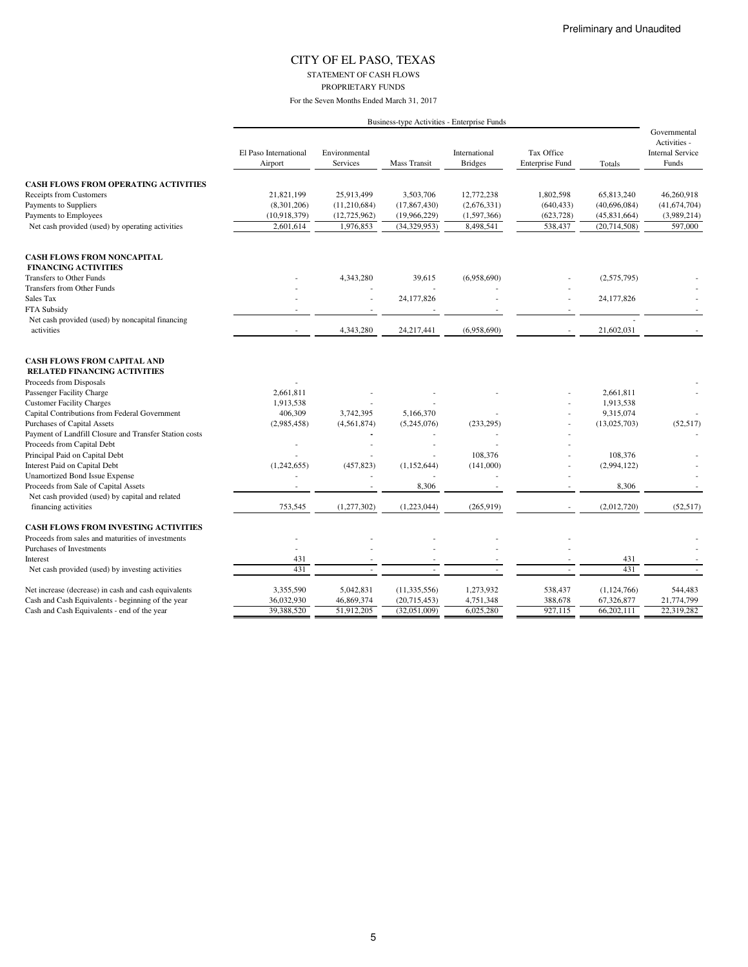STATEMENT OF CASH FLOWS PROPRIETARY FUNDS

|                                                                           |                                  |                                  |                | Business-type Activities - Enterprise Funds |                                      |              |                                                                  |
|---------------------------------------------------------------------------|----------------------------------|----------------------------------|----------------|---------------------------------------------|--------------------------------------|--------------|------------------------------------------------------------------|
|                                                                           | El Paso International<br>Airport | Environmental<br><b>Services</b> | Mass Transit   | International<br><b>Bridges</b>             | Tax Office<br><b>Enterprise Fund</b> | Totals       | Governmental<br>Activities -<br><b>Internal Service</b><br>Funds |
| <b>CASH FLOWS FROM OPERATING ACTIVITIES</b>                               |                                  |                                  |                |                                             |                                      |              |                                                                  |
| <b>Receipts from Customers</b>                                            | 21,821,199                       | 25,913,499                       | 3,503,706      | 12,772,238                                  | 1,802,598                            | 65,813,240   | 46,260,918                                                       |
| Payments to Suppliers                                                     | (8,301,206)                      | (11,210,684)                     | (17, 867, 430) | (2,676,331)                                 | (640, 433)                           | (40,696,084) | (41, 674, 704)                                                   |
| Payments to Employees                                                     | (10,918,379)                     | (12, 725, 962)                   | (19,966,229)   | (1,597,366)                                 | (623, 728)                           | (45,831,664) | (3,989,214)                                                      |
| Net cash provided (used) by operating activities                          | 2,601,614                        | 1,976,853                        | (34, 329, 953) | 8,498,541                                   | 538,437                              | (20,714,508) | 597,000                                                          |
| <b>CASH FLOWS FROM NONCAPITAL</b>                                         |                                  |                                  |                |                                             |                                      |              |                                                                  |
| <b>FINANCING ACTIVITIES</b>                                               |                                  |                                  |                |                                             |                                      |              |                                                                  |
| Transfers to Other Funds                                                  |                                  | 4,343,280                        | 39,615         | (6,958,690)                                 |                                      | (2,575,795)  |                                                                  |
| Transfers from Other Funds                                                |                                  |                                  |                |                                             |                                      |              |                                                                  |
| Sales Tax                                                                 |                                  |                                  | 24,177,826     |                                             |                                      | 24, 177, 826 |                                                                  |
| FTA Subsidy                                                               |                                  |                                  |                |                                             |                                      |              |                                                                  |
| Net cash provided (used) by noncapital financing                          |                                  |                                  |                |                                             |                                      |              |                                                                  |
| activities                                                                |                                  | 4,343,280                        | 24,217,441     | (6,958,690)                                 |                                      | 21,602,031   |                                                                  |
| <b>CASH FLOWS FROM CAPITAL AND</b><br><b>RELATED FINANCING ACTIVITIES</b> |                                  |                                  |                |                                             |                                      |              |                                                                  |
| Proceeds from Disposals                                                   |                                  |                                  |                |                                             |                                      |              |                                                                  |
| Passenger Facility Charge                                                 | 2,661,811                        |                                  |                |                                             |                                      | 2,661,811    |                                                                  |
| <b>Customer Facility Charges</b>                                          | 1,913,538                        |                                  |                |                                             |                                      | 1,913,538    |                                                                  |
| Capital Contributions from Federal Government                             | 406,309                          | 3,742,395                        | 5,166,370      |                                             |                                      | 9,315,074    |                                                                  |
| Purchases of Capital Assets                                               | (2,985,458)                      | (4, 561, 874)                    | (5,245,076)    | (233, 295)                                  |                                      | (13,025,703) | (52, 517)                                                        |
| Payment of Landfill Closure and Transfer Station costs                    |                                  |                                  |                |                                             |                                      |              |                                                                  |
| Proceeds from Capital Debt                                                |                                  |                                  |                |                                             |                                      |              |                                                                  |
| Principal Paid on Capital Debt                                            |                                  |                                  |                | 108,376                                     |                                      | 108,376      |                                                                  |
| Interest Paid on Capital Debt                                             | (1,242,655)                      | (457, 823)                       | (1,152,644)    | (141,000)                                   |                                      | (2,994,122)  |                                                                  |
| <b>Unamortized Bond Issue Expense</b>                                     |                                  |                                  |                |                                             |                                      |              |                                                                  |
| Proceeds from Sale of Capital Assets                                      |                                  |                                  | 8,306          |                                             |                                      | 8,306        |                                                                  |
| Net cash provided (used) by capital and related                           |                                  |                                  |                |                                             |                                      |              |                                                                  |
| financing activities                                                      | 753,545                          | (1,277,302)                      | (1,223,044)    | (265, 919)                                  |                                      | (2,012,720)  | (52, 517)                                                        |
| <b>CASH FLOWS FROM INVESTING ACTIVITIES</b>                               |                                  |                                  |                |                                             |                                      |              |                                                                  |
| Proceeds from sales and maturities of investments                         |                                  |                                  |                |                                             |                                      |              |                                                                  |
| Purchases of Investments                                                  |                                  |                                  |                |                                             |                                      |              |                                                                  |
| Interest                                                                  | 431                              |                                  |                |                                             |                                      | 431          |                                                                  |
| Net cash provided (used) by investing activities                          | 431                              |                                  |                |                                             |                                      | 431          |                                                                  |
| Net increase (decrease) in cash and cash equivalents                      | 3,355,590                        | 5,042,831                        | (11, 335, 556) | 1,273,932                                   | 538,437                              | (1,124,766)  | 544,483                                                          |
| Cash and Cash Equivalents - beginning of the year                         | 36,032,930                       | 46,869,374                       | (20,715,453)   | 4,751,348                                   | 388,678                              | 67,326,877   | 21,774,799                                                       |
| Cash and Cash Equivalents - end of the year                               | 39,388,520                       | 51,912,205                       | (32,051,009)   | 6,025,280                                   | 927,115                              | 66,202,111   | 22,319,282                                                       |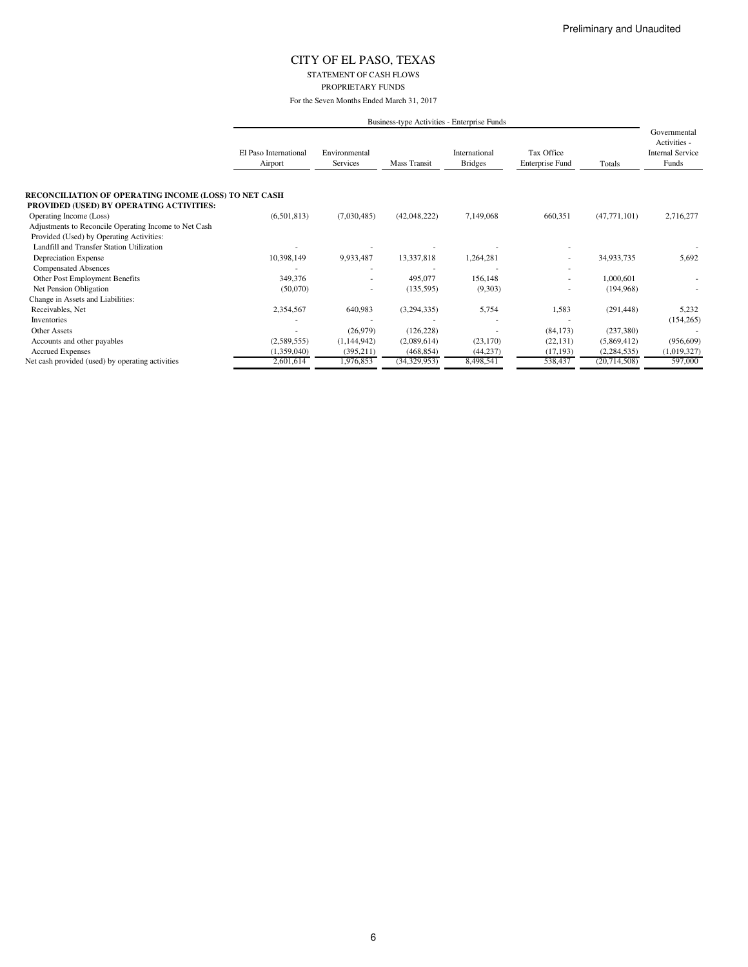STATEMENT OF CASH FLOWS PROPRIETARY FUNDS

For the Seven Months Ended March 31, 2017

|                                                       |                                  |                           |              | Business-type Activities - Enterprise Funds |                                      |                |                                                                  |
|-------------------------------------------------------|----------------------------------|---------------------------|--------------|---------------------------------------------|--------------------------------------|----------------|------------------------------------------------------------------|
|                                                       | El Paso International<br>Airport | Environmental<br>Services | Mass Transit | International<br><b>Bridges</b>             | Tax Office<br><b>Enterprise Fund</b> | Totals         | Governmental<br>Activities -<br><b>Internal Service</b><br>Funds |
| RECONCILIATION OF OPERATING INCOME (LOSS) TO NET CASH |                                  |                           |              |                                             |                                      |                |                                                                  |
| PROVIDED (USED) BY OPERATING ACTIVITIES:              |                                  |                           |              |                                             |                                      |                |                                                                  |
| Operating Income (Loss)                               | (6,501,813)                      | (7,030,485)               | (42,048,222) | 7,149,068                                   | 660,351                              | (47, 771, 101) | 2,716,277                                                        |
| Adjustments to Reconcile Operating Income to Net Cash |                                  |                           |              |                                             |                                      |                |                                                                  |
| Provided (Used) by Operating Activities:              |                                  |                           |              |                                             |                                      |                |                                                                  |
| Landfill and Transfer Station Utilization             |                                  |                           |              |                                             |                                      |                |                                                                  |
| Depreciation Expense                                  | 10,398,149                       | 9,933,487                 | 13,337,818   | 1,264,281                                   |                                      | 34,933,735     | 5,692                                                            |
| <b>Compensated Absences</b>                           |                                  |                           |              |                                             |                                      |                |                                                                  |
| Other Post Employment Benefits                        | 349,376                          |                           | 495,077      | 156,148                                     |                                      | 1,000,601      |                                                                  |
| Net Pension Obligation                                | (50,070)                         |                           | (135, 595)   | (9,303)                                     |                                      | (194, 968)     |                                                                  |
| Change in Assets and Liabilities:                     |                                  |                           |              |                                             |                                      |                |                                                                  |
| Receivables, Net                                      | 2,354,567                        | 640,983                   | (3,294,335)  | 5,754                                       | 1,583                                | (291, 448)     | 5,232                                                            |
| Inventories                                           |                                  |                           |              |                                             |                                      |                | (154, 265)                                                       |
| Other Assets                                          |                                  | (26,979)                  | (126, 228)   |                                             | (84, 173)                            | (237, 380)     |                                                                  |
| Accounts and other payables                           | (2,589,555)                      | (1,144,942)               | (2,089,614)  | (23, 170)                                   | (22, 131)                            | (5,869,412)    | (956, 609)                                                       |
| <b>Accrued Expenses</b>                               | (1,359,040)                      | (395, 211)                | (468, 854)   | (44, 237)                                   | (17, 193)                            | (2, 284, 535)  | (1,019,327)                                                      |
| Net cash provided (used) by operating activities      | 2,601,614                        | 1,976,853                 | (34,329,953) | 8,498,541                                   | 538,437                              | (20,714,508)   | 597,000                                                          |

6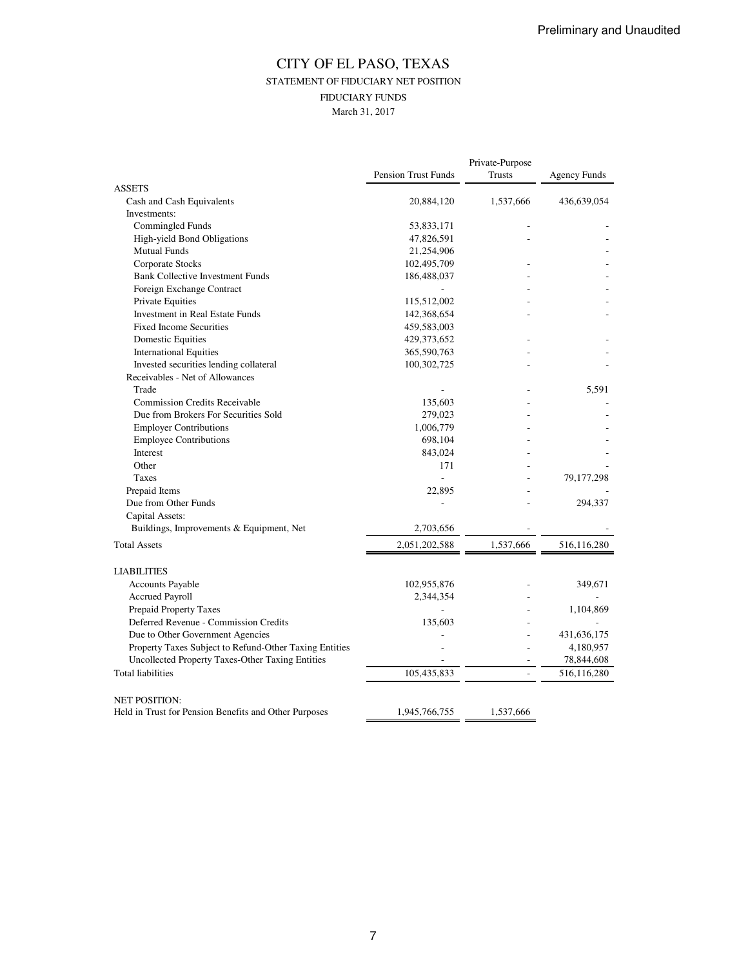## CITY OF EL PASO, TEXAS STATEMENT OF FIDUCIARY NET POSITION FIDUCIARY FUNDS March 31, 2017

|                                                        |                            | Private-Purpose          |              |
|--------------------------------------------------------|----------------------------|--------------------------|--------------|
|                                                        | <b>Pension Trust Funds</b> | Trusts                   | Agency Funds |
| <b>ASSETS</b>                                          |                            |                          |              |
| Cash and Cash Equivalents                              | 20,884,120                 | 1,537,666                | 436,639,054  |
| Investments:                                           |                            |                          |              |
| Commingled Funds                                       | 53,833,171                 |                          |              |
| High-yield Bond Obligations                            | 47,826,591                 |                          |              |
| <b>Mutual Funds</b>                                    | 21,254,906                 |                          |              |
| Corporate Stocks                                       | 102,495,709                |                          |              |
| <b>Bank Collective Investment Funds</b>                | 186,488,037                |                          |              |
| Foreign Exchange Contract                              |                            |                          |              |
| Private Equities                                       | 115,512,002                |                          |              |
| Investment in Real Estate Funds                        | 142,368,654                |                          |              |
| <b>Fixed Income Securities</b>                         | 459,583,003                |                          |              |
| <b>Domestic Equities</b>                               | 429,373,652                |                          |              |
| <b>International Equities</b>                          | 365,590,763                |                          |              |
| Invested securities lending collateral                 | 100,302,725                |                          |              |
| Receivables - Net of Allowances                        |                            |                          |              |
| Trade                                                  |                            |                          | 5,591        |
| <b>Commission Credits Receivable</b>                   | 135,603                    |                          |              |
| Due from Brokers For Securities Sold                   | 279,023                    |                          |              |
| <b>Employer Contributions</b>                          | 1,006,779                  |                          |              |
| <b>Employee Contributions</b>                          | 698,104                    |                          |              |
| Interest                                               | 843,024                    |                          |              |
| Other                                                  | 171                        |                          |              |
| Taxes                                                  | $\frac{1}{2}$              |                          | 79, 177, 298 |
| Prepaid Items                                          | 22,895                     |                          |              |
| Due from Other Funds                                   |                            |                          | 294,337      |
| Capital Assets:                                        |                            |                          |              |
| Buildings, Improvements & Equipment, Net               | 2,703,656                  |                          |              |
| <b>Total Assets</b>                                    |                            | 1,537,666                |              |
|                                                        | 2,051,202,588              |                          | 516,116,280  |
| <b>LIABILITIES</b>                                     |                            |                          |              |
| Accounts Payable                                       | 102,955,876                |                          | 349,671      |
| Accrued Payroll                                        | 2,344,354                  |                          |              |
| Prepaid Property Taxes                                 |                            |                          | 1,104,869    |
| Deferred Revenue - Commission Credits                  | 135,603                    |                          |              |
| Due to Other Government Agencies                       |                            |                          | 431,636,175  |
| Property Taxes Subject to Refund-Other Taxing Entities |                            |                          | 4,180,957    |
| Uncollected Property Taxes-Other Taxing Entities       |                            |                          | 78,844,608   |
| <b>Total liabilities</b>                               | 105,435,833                | $\overline{\phantom{a}}$ | 516,116,280  |
|                                                        |                            |                          |              |
| <b>NET POSITION:</b>                                   |                            |                          |              |
| Held in Trust for Pension Benefits and Other Purposes  | 1,945,766,755              | 1,537,666                |              |
|                                                        |                            |                          |              |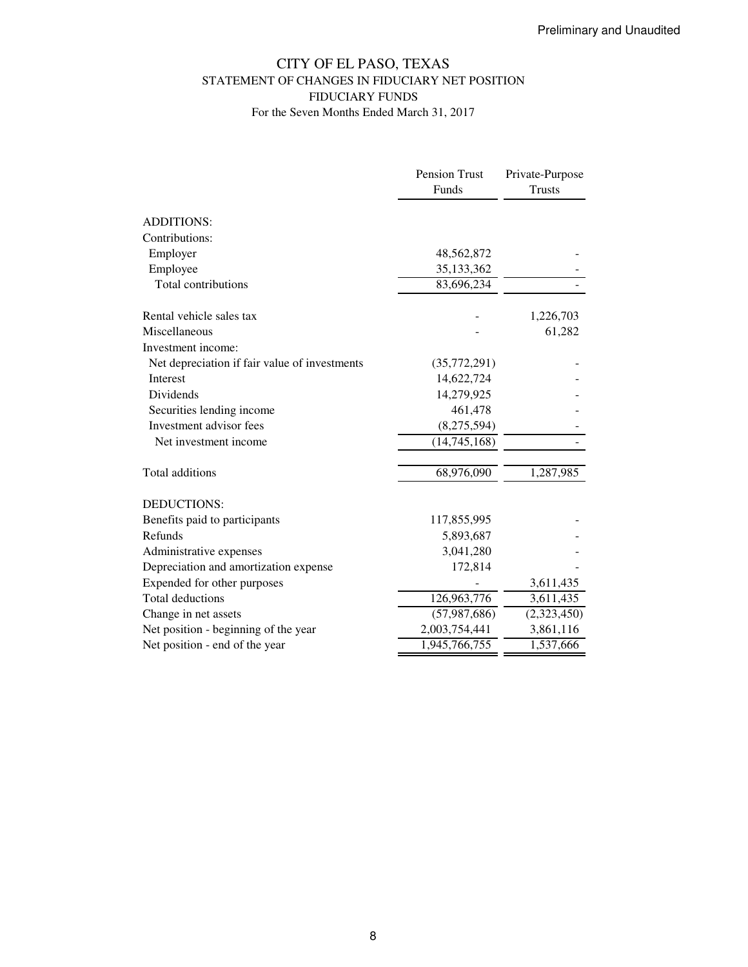## CITY OF EL PASO, TEXAS STATEMENT OF CHANGES IN FIDUCIARY NET POSITION FIDUCIARY FUNDS For the Seven Months Ended March 31, 2017

|                                               | Pension Trust  | Private-Purpose |
|-----------------------------------------------|----------------|-----------------|
|                                               | Funds          | <b>Trusts</b>   |
| <b>ADDITIONS:</b>                             |                |                 |
| Contributions:                                |                |                 |
| Employer                                      | 48,562,872     |                 |
| Employee                                      | 35,133,362     |                 |
| Total contributions                           | 83,696,234     |                 |
| Rental vehicle sales tax                      |                | 1,226,703       |
| Miscellaneous                                 |                | 61,282          |
| Investment income:                            |                |                 |
| Net depreciation if fair value of investments | (35,772,291)   |                 |
| <b>Interest</b>                               | 14,622,724     |                 |
| Dividends                                     | 14,279,925     |                 |
| Securities lending income                     | 461,478        |                 |
| Investment advisor fees                       | (8,275,594)    |                 |
| Net investment income                         | (14, 745, 168) |                 |
| Total additions                               | 68,976,090     | 1,287,985       |
| DEDUCTIONS:                                   |                |                 |
| Benefits paid to participants                 | 117,855,995    |                 |
| Refunds                                       | 5,893,687      |                 |
| Administrative expenses                       | 3,041,280      |                 |
| Depreciation and amortization expense         | 172,814        |                 |
| Expended for other purposes                   |                | 3,611,435       |
| <b>Total deductions</b>                       | 126,963,776    | 3,611,435       |
| Change in net assets                          | (57, 987, 686) | (2,323,450)     |
| Net position - beginning of the year          | 2,003,754,441  | 3,861,116       |
| Net position - end of the year                | 1,945,766,755  | 1,537,666       |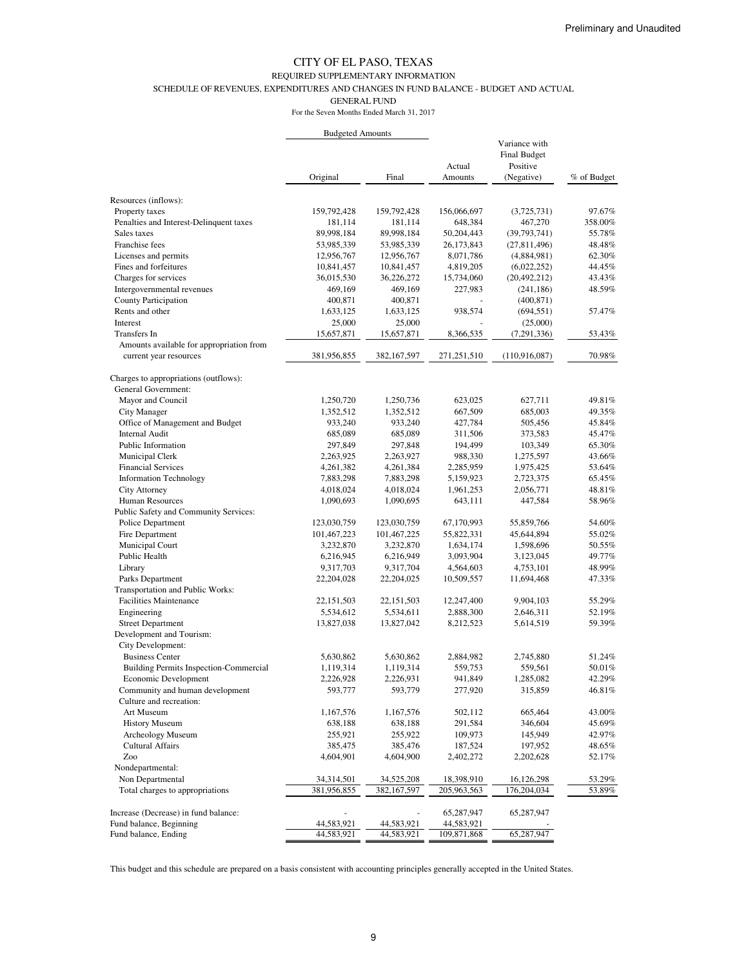#### REQUIRED SUPPLEMENTARY INFORMATION

SCHEDULE OF REVENUES, EXPENDITURES AND CHANGES IN FUND BALANCE - BUDGET AND ACTUAL

GENERAL FUND

For the Seven Months Ended March 31, 2017

|                                                                    | <b>Budgeted Amounts</b> |               |                   |                                                                |             |
|--------------------------------------------------------------------|-------------------------|---------------|-------------------|----------------------------------------------------------------|-------------|
|                                                                    | Original                | Final         | Actual<br>Amounts | Variance with<br><b>Final Budget</b><br>Positive<br>(Negative) | % of Budget |
|                                                                    |                         |               |                   |                                                                |             |
| Resources (inflows):                                               |                         |               |                   |                                                                |             |
| Property taxes                                                     | 159,792,428             | 159,792,428   | 156,066,697       | (3,725,731)                                                    | 97.67%      |
| Penalties and Interest-Delinquent taxes                            | 181,114                 | 181,114       | 648,384           | 467,270                                                        | 358.00%     |
| Sales taxes                                                        | 89,998,184              | 89,998,184    | 50,204,443        | (39, 793, 741)                                                 | 55.78%      |
| Franchise fees                                                     | 53,985,339              | 53,985,339    | 26,173,843        | (27,811,496)                                                   | 48.48%      |
| Licenses and permits                                               | 12,956,767              | 12,956,767    | 8,071,786         | (4,884,981)                                                    | 62.30%      |
| Fines and forfeitures                                              | 10,841,457              | 10,841,457    | 4,819,205         | (6,022,252)                                                    | 44.45%      |
| Charges for services                                               | 36,015,530              | 36,226,272    | 15,734,060        | (20, 492, 212)                                                 | 43.43%      |
| Intergovernmental revenues                                         | 469,169                 | 469,169       | 227,983           | (241, 186)                                                     | 48.59%      |
| County Participation                                               | 400,871                 | 400,871       |                   | (400, 871)                                                     |             |
| Rents and other                                                    | 1,633,125               | 1,633,125     | 938,574           | (694, 551)                                                     | 57.47%      |
| Interest                                                           | 25,000                  | 25,000        |                   | (25,000)                                                       |             |
| Transfers In                                                       | 15,657,871              | 15,657,871    | 8,366,535         | (7,291,336)                                                    | 53.43%      |
| Amounts available for appropriation from<br>current year resources | 381,956,855             | 382, 167, 597 | 271,251,510       | (110,916,087)                                                  | 70.98%      |
|                                                                    |                         |               |                   |                                                                |             |
| Charges to appropriations (outflows):<br>General Government:       |                         |               |                   |                                                                |             |
| Mayor and Council                                                  | 1,250,720               | 1,250,736     | 623,025           | 627,711                                                        | 49.81%      |
| City Manager                                                       | 1,352,512               | 1,352,512     | 667,509           | 685,003                                                        | 49.35%      |
| Office of Management and Budget                                    | 933,240                 | 933,240       | 427,784           | 505,456                                                        | 45.84%      |
| Internal Audit                                                     | 685,089                 | 685,089       | 311,506           | 373,583                                                        | 45.47%      |
| Public Information                                                 | 297,849                 | 297,848       | 194,499           | 103,349                                                        | 65.30%      |
| Municipal Clerk                                                    | 2,263,925               | 2,263,927     | 988,330           | 1,275,597                                                      | 43.66%      |
| <b>Financial Services</b>                                          | 4,261,382               | 4,261,384     | 2,285,959         | 1,975,425                                                      | 53.64%      |
| <b>Information Technology</b>                                      | 7,883,298               | 7,883,298     | 5,159,923         | 2,723,375                                                      | 65.45%      |
| City Attorney                                                      | 4,018,024               | 4,018,024     | 1,961,253         | 2,056,771                                                      | 48.81%      |
| Human Resources                                                    | 1,090,693               | 1,090,695     | 643,111           | 447,584                                                        | 58.96%      |
| Public Safety and Community Services:                              |                         |               |                   |                                                                |             |
| Police Department                                                  | 123,030,759             | 123,030,759   | 67,170,993        | 55,859,766                                                     | 54.60%      |
| Fire Department                                                    | 101,467,223             | 101,467,225   | 55,822,331        | 45,644,894                                                     | 55.02%      |
| Municipal Court                                                    | 3,232,870               | 3,232,870     | 1,634,174         | 1,598,696                                                      | 50.55%      |
| Public Health                                                      | 6,216,945               | 6,216,949     | 3,093,904         | 3,123,045                                                      | 49.77%      |
| Library                                                            | 9,317,703               | 9,317,704     | 4,564,603         | 4,753,101                                                      | 48.99%      |
| Parks Department                                                   | 22,204,028              | 22,204,025    | 10,509,557        | 11,694,468                                                     | 47.33%      |
| <b>Transportation and Public Works:</b>                            |                         |               |                   |                                                                |             |
| <b>Facilities Maintenance</b>                                      | 22, 151, 503            | 22, 151, 503  | 12,247,400        | 9,904,103                                                      | 55.29%      |
| Engineering                                                        | 5,534,612               | 5,534,611     | 2,888,300         | 2,646,311                                                      | 52.19%      |
| <b>Street Department</b>                                           | 13,827,038              | 13,827,042    | 8,212,523         | 5,614,519                                                      | 59.39%      |
| Development and Tourism:                                           |                         |               |                   |                                                                |             |
| City Development:                                                  |                         |               |                   |                                                                |             |
| <b>Business Center</b>                                             | 5,630,862               | 5,630,862     | 2,884,982         | 2,745,880                                                      | 51.24%      |
| <b>Building Permits Inspection-Commercial</b>                      | 1,119,314               | 1,119,314     | 559,753           | 559,561                                                        | 50.01%      |
| Economic Development                                               | 2,226,928               | 2,226,931     | 941,849           | 1,285,082                                                      | 42.29%      |
| Community and human development                                    | 593,777                 | 593,779       | 277,920           | 315,859                                                        | 46.81%      |
| Culture and recreation:                                            |                         |               |                   |                                                                |             |
| Art Museum                                                         | 1,167,576               | 1,167,576     | 502,112           | 665,464                                                        | 43.00%      |
| <b>History Museum</b>                                              | 638,188                 | 638,188       | 291,584           | 346,604                                                        | 45.69%      |
| Archeology Museum                                                  | 255,921                 | 255,922       | 109,973           | 145,949                                                        | 42.97%      |
| <b>Cultural Affairs</b>                                            | 385,475                 | 385,476       | 187,524           | 197,952                                                        | 48.65%      |
| Zoo                                                                | 4,604,901               | 4,604,900     | 2,402,272         | 2,202,628                                                      | 52.17%      |
| Nondepartmental:                                                   |                         |               |                   |                                                                |             |
| Non Departmental                                                   | 34,314,501              | 34,525,208    | 18,398,910        | 16,126,298                                                     | 53.29%      |
| Total charges to appropriations                                    | 381,956,855             | 382, 167, 597 | 205,963,563       | 176,204,034                                                    | 53.89%      |
|                                                                    |                         |               |                   |                                                                |             |
| Increase (Decrease) in fund balance:                               |                         |               | 65,287,947        | 65,287,947                                                     |             |
| Fund balance, Beginning                                            | 44,583,921              | 44,583,921    | 44,583,921        |                                                                |             |
| Fund balance, Ending                                               | 44,583,921              | 44,583,921    | 109,871,868       | 65,287,947                                                     |             |

This budget and this schedule are prepared on a basis consistent with accounting principles generally accepted in the United States.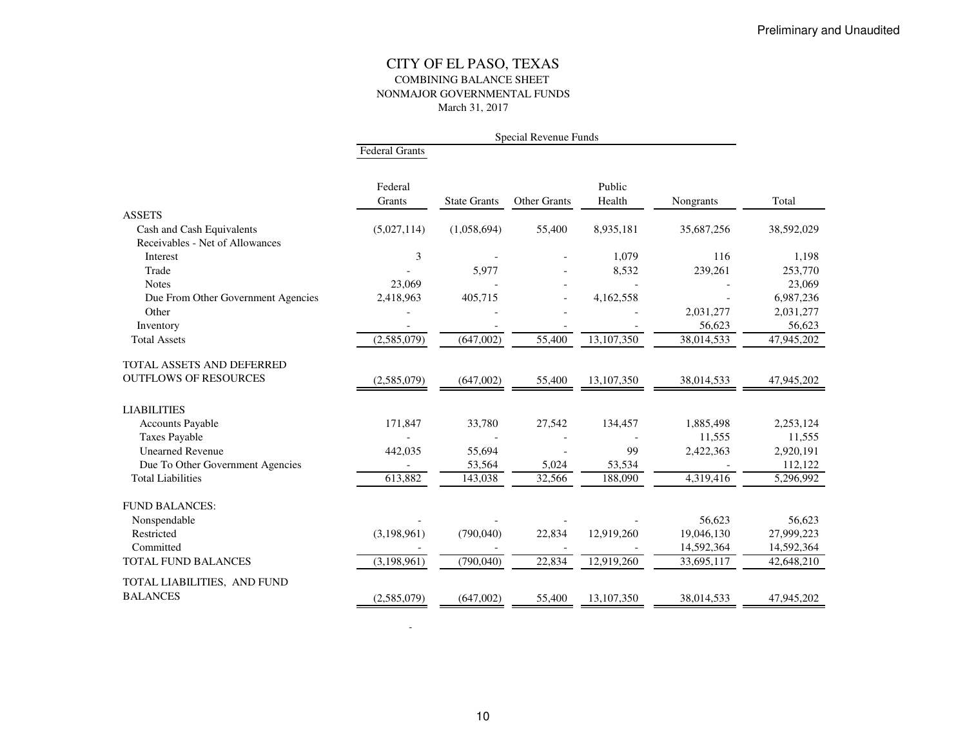### CITY OF EL PASO, TEXAS COMBINING BALANCE SHEET NONMAJOR GOVERNMENTAL FUNDSMarch 31, 2017

|                                    | <b>Federal Grants</b> |                     |              |                  |            |            |
|------------------------------------|-----------------------|---------------------|--------------|------------------|------------|------------|
|                                    | Federal<br>Grants     | <b>State Grants</b> | Other Grants | Public<br>Health | Nongrants  | Total      |
| <b>ASSETS</b>                      |                       |                     |              |                  |            |            |
| Cash and Cash Equivalents          | (5,027,114)           | (1,058,694)         | 55,400       | 8,935,181        | 35,687,256 | 38,592,029 |
| Receivables - Net of Allowances    |                       |                     |              |                  |            |            |
| Interest                           | 3                     |                     |              | 1,079            | 116        | 1,198      |
| Trade                              |                       | 5,977               |              | 8,532            | 239,261    | 253,770    |
| <b>Notes</b>                       | 23,069                |                     |              |                  |            | 23,069     |
| Due From Other Government Agencies | 2,418,963             | 405,715             |              | 4,162,558        |            | 6,987,236  |
| Other                              |                       |                     |              |                  | 2,031,277  | 2,031,277  |
| Inventory                          |                       |                     |              |                  | 56,623     | 56,623     |
| <b>Total Assets</b>                | (2,585,079)           | (647,002)           | 55,400       | 13,107,350       | 38,014,533 | 47,945,202 |
| TOTAL ASSETS AND DEFERRED          |                       |                     |              |                  |            |            |
| <b>OUTFLOWS OF RESOURCES</b>       | (2,585,079)           | (647,002)           | 55,400       | 13,107,350       | 38,014,533 | 47,945,202 |
| <b>LIABILITIES</b>                 |                       |                     |              |                  |            |            |
| <b>Accounts Payable</b>            | 171,847               | 33,780              | 27,542       | 134,457          | 1,885,498  | 2,253,124  |
| <b>Taxes Payable</b>               |                       |                     |              |                  | 11,555     | 11,555     |
| <b>Unearned Revenue</b>            | 442,035               | 55,694              |              | 99               | 2,422,363  | 2,920,191  |
| Due To Other Government Agencies   |                       | 53,564              | 5,024        | 53,534           |            | 112,122    |
| <b>Total Liabilities</b>           | 613,882               | 143,038             | 32,566       | 188,090          | 4,319,416  | 5,296,992  |
| <b>FUND BALANCES:</b>              |                       |                     |              |                  |            |            |
| Nonspendable                       |                       |                     |              |                  | 56,623     | 56,623     |
| Restricted                         | (3,198,961)           | (790,040)           | 22,834       | 12,919,260       | 19,046,130 | 27,999,223 |
| Committed                          |                       |                     |              |                  | 14,592,364 | 14,592,364 |
| <b>TOTAL FUND BALANCES</b>         | (3,198,961)           | (790, 040)          | 22,834       | 12,919,260       | 33,695,117 | 42,648,210 |
| TOTAL LIABILITIES, AND FUND        |                       |                     |              |                  |            |            |
| <b>BALANCES</b>                    | (2,585,079)           | (647,002)           | 55,400       | 13,107,350       | 38,014,533 | 47,945,202 |
|                                    |                       |                     |              |                  |            |            |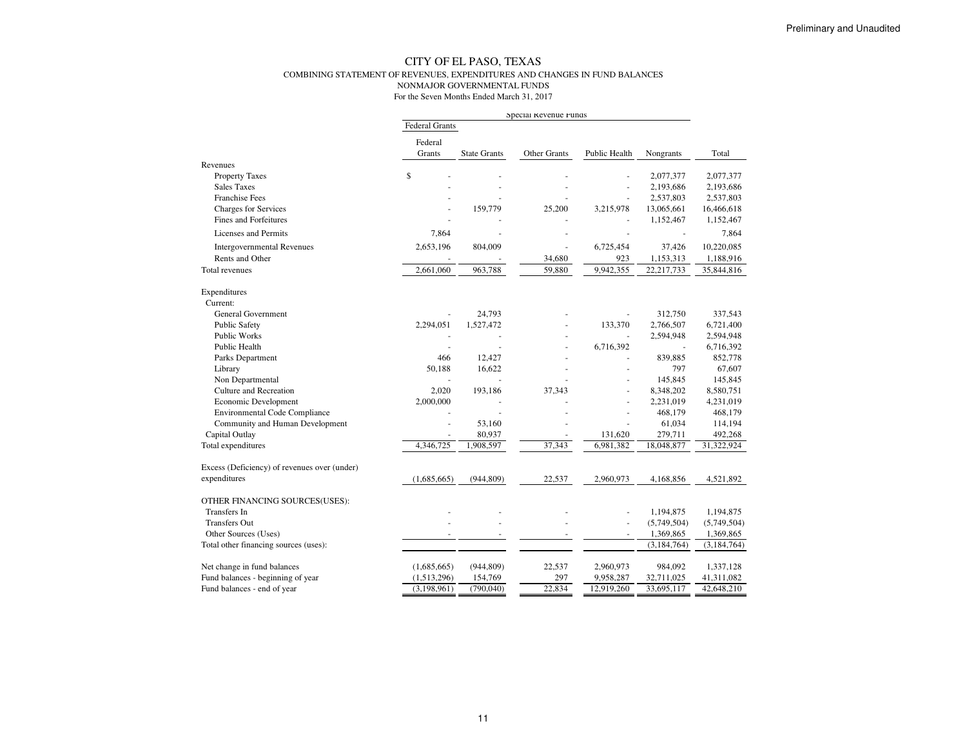#### CITY OF EL PASO, TEXAS COMBINING STATEMENT OF REVENUES, EXPENDITURES AND CHANGES IN FUND BALANCESNONMAJOR GOVERNMENTAL FUNDS

|                                              | Special Revenue Funds |                          |              |                          |                         |                         |
|----------------------------------------------|-----------------------|--------------------------|--------------|--------------------------|-------------------------|-------------------------|
|                                              | <b>Federal Grants</b> |                          |              |                          |                         |                         |
|                                              | Federal               |                          |              |                          |                         |                         |
|                                              | Grants                | <b>State Grants</b>      | Other Grants | Public Health            | Nongrants               | Total                   |
| Revenues                                     |                       |                          |              |                          |                         |                         |
| <b>Property Taxes</b>                        | \$                    |                          |              | ÷,                       | 2,077,377               | 2,077,377               |
| <b>Sales Taxes</b><br><b>Franchise Fees</b>  |                       |                          |              | ÷,                       | 2,193,686               | 2,193,686               |
| <b>Charges for Services</b>                  |                       | 159,779                  | 25,200       | 3,215,978                | 2,537,803<br>13,065,661 | 2,537,803<br>16,466,618 |
| <b>Fines and Forfeitures</b>                 |                       |                          |              |                          | 1,152,467               | 1,152,467               |
|                                              |                       |                          |              |                          |                         |                         |
| <b>Licenses and Permits</b>                  | 7,864                 | ÷,                       |              |                          |                         | 7,864                   |
| <b>Intergovernmental Revenues</b>            | 2,653,196             | 804,009                  | ÷.           | 6,725,454                | 37,426                  | 10,220,085              |
| Rents and Other                              |                       |                          | 34,680       | 923                      | 1,153,313               | 1,188,916               |
| Total revenues                               | 2,661,060             | 963,788                  | 59,880       | 9,942,355                | 22,217,733              | 35,844,816              |
| Expenditures                                 |                       |                          |              |                          |                         |                         |
| Current:                                     |                       |                          |              |                          |                         |                         |
| <b>General Government</b>                    |                       | 24,793                   |              |                          | 312,750                 | 337,543                 |
| <b>Public Safety</b>                         | 2,294,051             | 1,527,472                |              | 133,370                  | 2,766,507               | 6,721,400               |
| <b>Public Works</b>                          |                       |                          |              |                          | 2,594,948               | 2,594,948               |
| Public Health                                |                       | $\overline{\phantom{a}}$ |              | 6,716,392                |                         | 6,716,392               |
| Parks Department                             | 466                   | 12,427                   |              |                          | 839,885                 | 852,778                 |
| Library                                      | 50,188                | 16,622                   |              |                          | 797                     | 67,607                  |
| Non Departmental                             |                       |                          |              |                          | 145,845                 | 145,845                 |
| Culture and Recreation                       | 2,020                 | 193,186                  | 37,343       | ä,                       | 8,348,202               | 8,580,751               |
| Economic Development                         | 2,000,000             |                          |              | ÷,                       | 2,231,019               | 4,231,019               |
| <b>Environmental Code Compliance</b>         |                       |                          |              |                          | 468,179                 | 468,179                 |
| Community and Human Development              |                       | 53,160                   |              |                          | 61,034                  | 114,194                 |
| Capital Outlay                               |                       | 80,937                   |              | 131,620                  | 279,711                 | 492,268                 |
| Total expenditures                           | 4,346,725             | 1,908,597                | 37,343       | 6,981,382                | 18,048,877              | 31,322,924              |
| Excess (Deficiency) of revenues over (under) |                       |                          |              |                          |                         |                         |
| expenditures                                 | (1,685,665)           | (944, 809)               | 22,537       | 2,960,973                | 4,168,856               | 4,521,892               |
| OTHER FINANCING SOURCES(USES):               |                       |                          |              |                          |                         |                         |
| Transfers In                                 |                       |                          |              | ÷,                       | 1,194,875               | 1,194,875               |
| <b>Transfers Out</b>                         |                       | $\overline{a}$           |              | ÷.                       | (5,749,504)             | (5,749,504)             |
| Other Sources (Uses)                         |                       | $\overline{\phantom{a}}$ | $\sim$       | $\overline{\phantom{a}}$ | 1,369,865               | 1,369,865               |
| Total other financing sources (uses):        |                       |                          |              |                          | (3, 184, 764)           | (3, 184, 764)           |
| Net change in fund balances                  | (1,685,665)           | (944, 809)               | 22,537       | 2,960,973                | 984,092                 | 1,337,128               |
| Fund balances - beginning of year            | (1,513,296)           | 154,769                  | 297          | 9,958,287                | 32,711,025              | 41,311,082              |
| Fund balances - end of year                  | (3,198,961)           | (790,040)                | 22,834       | 12,919,260               | 33,695,117              | 42,648,210              |
|                                              |                       |                          |              |                          |                         |                         |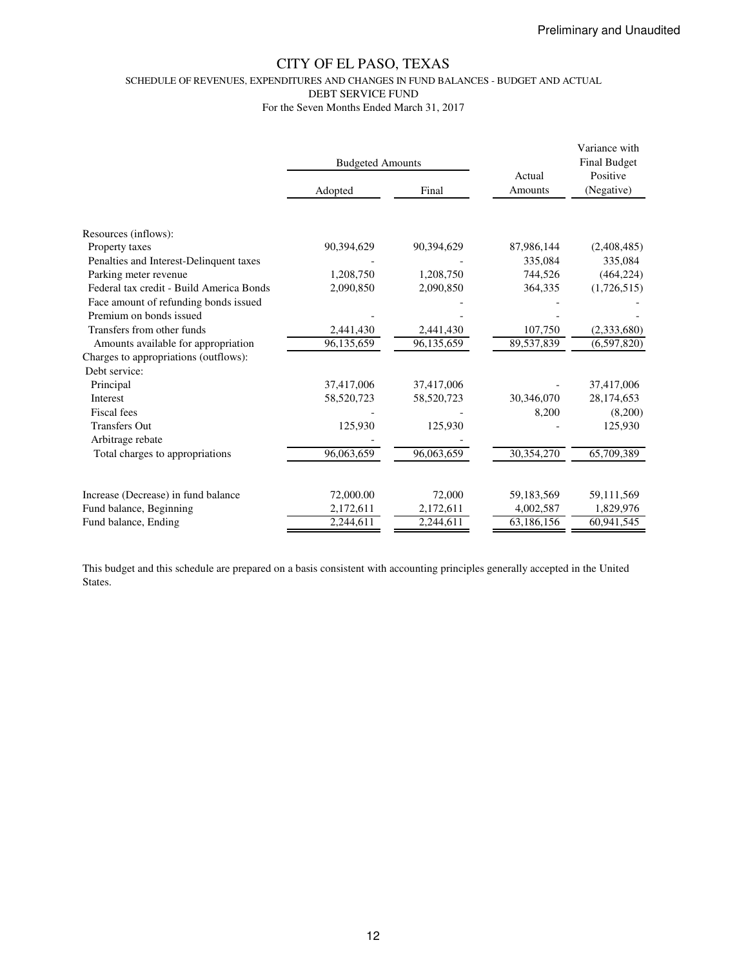SCHEDULE OF REVENUES, EXPENDITURES AND CHANGES IN FUND BALANCES - BUDGET AND ACTUAL

DEBT SERVICE FUND

For the Seven Months Ended March 31, 2017

|                                          | <b>Budgeted Amounts</b> |            | Actual     | Variance with<br><b>Final Budget</b><br>Positive |  |
|------------------------------------------|-------------------------|------------|------------|--------------------------------------------------|--|
|                                          | Adopted                 | Final      | Amounts    | (Negative)                                       |  |
|                                          |                         |            |            |                                                  |  |
| Resources (inflows):                     |                         |            |            |                                                  |  |
| Property taxes                           | 90,394,629              | 90,394,629 | 87,986,144 | (2,408,485)                                      |  |
| Penalties and Interest-Delinquent taxes  |                         |            | 335,084    | 335,084                                          |  |
| Parking meter revenue                    | 1,208,750               | 1,208,750  | 744,526    | (464, 224)                                       |  |
| Federal tax credit - Build America Bonds | 2,090,850               | 2,090,850  | 364,335    | (1,726,515)                                      |  |
| Face amount of refunding bonds issued    |                         |            |            |                                                  |  |
| Premium on bonds issued                  |                         |            |            |                                                  |  |
| Transfers from other funds               | 2,441,430               | 2,441,430  | 107,750    | (2,333,680)                                      |  |
| Amounts available for appropriation      | 96,135,659              | 96,135,659 | 89,537,839 | (6,597,820)                                      |  |
| Charges to appropriations (outflows):    |                         |            |            |                                                  |  |
| Debt service:                            |                         |            |            |                                                  |  |
| Principal                                | 37,417,006              | 37,417,006 |            | 37,417,006                                       |  |
| <b>Interest</b>                          | 58,520,723              | 58,520,723 | 30,346,070 | 28,174,653                                       |  |
| Fiscal fees                              |                         |            | 8,200      | (8,200)                                          |  |
| <b>Transfers Out</b>                     | 125,930                 | 125,930    |            | 125,930                                          |  |
| Arbitrage rebate                         |                         |            |            |                                                  |  |
| Total charges to appropriations          | 96,063,659              | 96,063,659 | 30,354,270 | 65,709,389                                       |  |
|                                          |                         |            |            |                                                  |  |
| Increase (Decrease) in fund balance      | 72,000.00               | 72,000     | 59,183,569 | 59,111,569                                       |  |
| Fund balance, Beginning                  | 2,172,611               | 2,172,611  | 4,002,587  | 1,829,976                                        |  |
| Fund balance, Ending                     | 2,244,611               | 2,244,611  | 63,186,156 | 60,941,545                                       |  |

This budget and this schedule are prepared on a basis consistent with accounting principles generally accepted in the United States.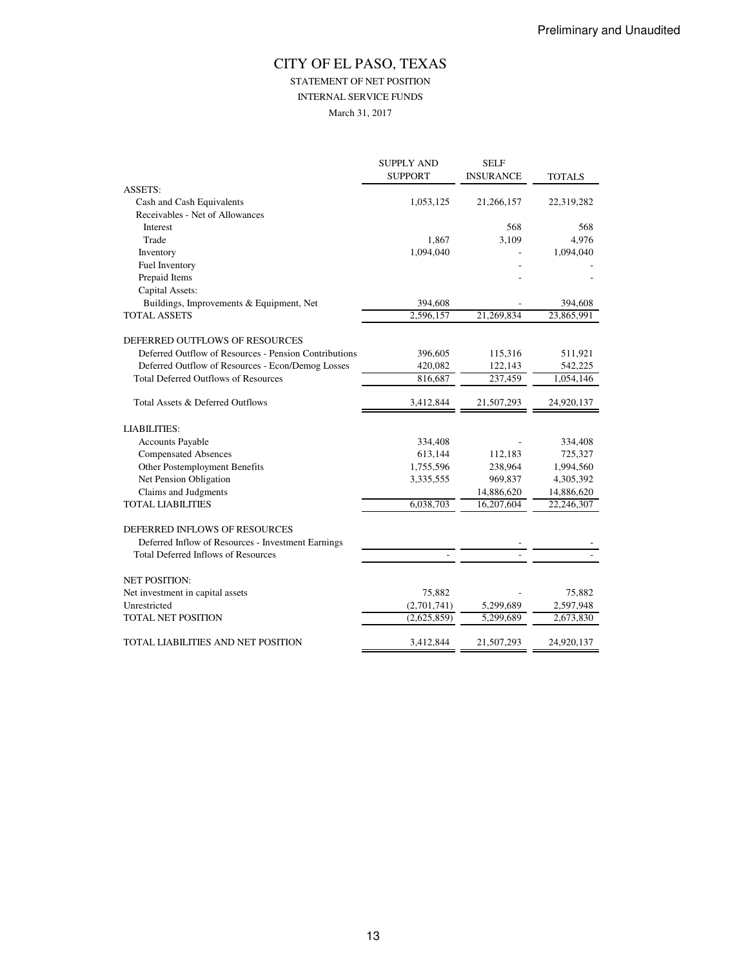## STATEMENT OF NET POSITION

INTERNAL SERVICE FUNDS

March 31, 2017

|                                                       | <b>SUPPLY AND</b> | <b>SELF</b>      |               |
|-------------------------------------------------------|-------------------|------------------|---------------|
|                                                       | <b>SUPPORT</b>    | <b>INSURANCE</b> | <b>TOTALS</b> |
| <b>ASSETS:</b>                                        |                   |                  |               |
| Cash and Cash Equivalents                             | 1,053,125         | 21,266,157       | 22,319,282    |
| Receivables - Net of Allowances                       |                   |                  |               |
| Interest                                              |                   | 568              | 568           |
| Trade                                                 | 1.867             | 3,109            | 4,976         |
| Inventory                                             | 1,094,040         |                  | 1,094,040     |
| Fuel Inventory                                        |                   |                  |               |
| Prepaid Items                                         |                   |                  |               |
| Capital Assets:                                       |                   |                  |               |
| Buildings, Improvements & Equipment, Net              | 394,608           |                  | 394,608       |
| <b>TOTAL ASSETS</b>                                   | 2,596,157         | 21,269,834       | 23,865,991    |
| DEFERRED OUTFLOWS OF RESOURCES                        |                   |                  |               |
| Deferred Outflow of Resources - Pension Contributions | 396,605           | 115,316          | 511,921       |
| Deferred Outflow of Resources - Econ/Demog Losses     | 420,082           | 122,143          | 542,225       |
| <b>Total Deferred Outflows of Resources</b>           | 816,687           | 237,459          | 1,054,146     |
| Total Assets & Deferred Outflows                      | 3,412,844         | 21,507,293       | 24,920,137    |
| <b>LIABILITIES:</b>                                   |                   |                  |               |
| <b>Accounts Payable</b>                               | 334,408           |                  | 334,408       |
| <b>Compensated Absences</b>                           | 613,144           | 112,183          | 725,327       |
| Other Postemployment Benefits                         | 1,755,596         | 238,964          | 1,994,560     |
| Net Pension Obligation                                | 3,335,555         | 969,837          | 4,305,392     |
| Claims and Judgments                                  |                   | 14,886,620       | 14,886,620    |
| <b>TOTAL LIABILITIES</b>                              | 6,038,703         | 16,207,604       | 22,246,307    |
| DEFERRED INFLOWS OF RESOURCES                         |                   |                  |               |
| Deferred Inflow of Resources - Investment Earnings    |                   |                  |               |
| <b>Total Deferred Inflows of Resources</b>            |                   |                  |               |
| <b>NET POSITION:</b>                                  |                   |                  |               |
| Net investment in capital assets                      | 75,882            |                  | 75,882        |
| Unrestricted                                          | (2,701,741)       | 5,299,689        | 2,597,948     |
| <b>TOTAL NET POSITION</b>                             | (2,625,859)       | 5,299,689        | 2,673,830     |
| TOTAL LIABILITIES AND NET POSITION                    | 3,412,844         | 21,507,293       | 24,920,137    |
|                                                       |                   |                  |               |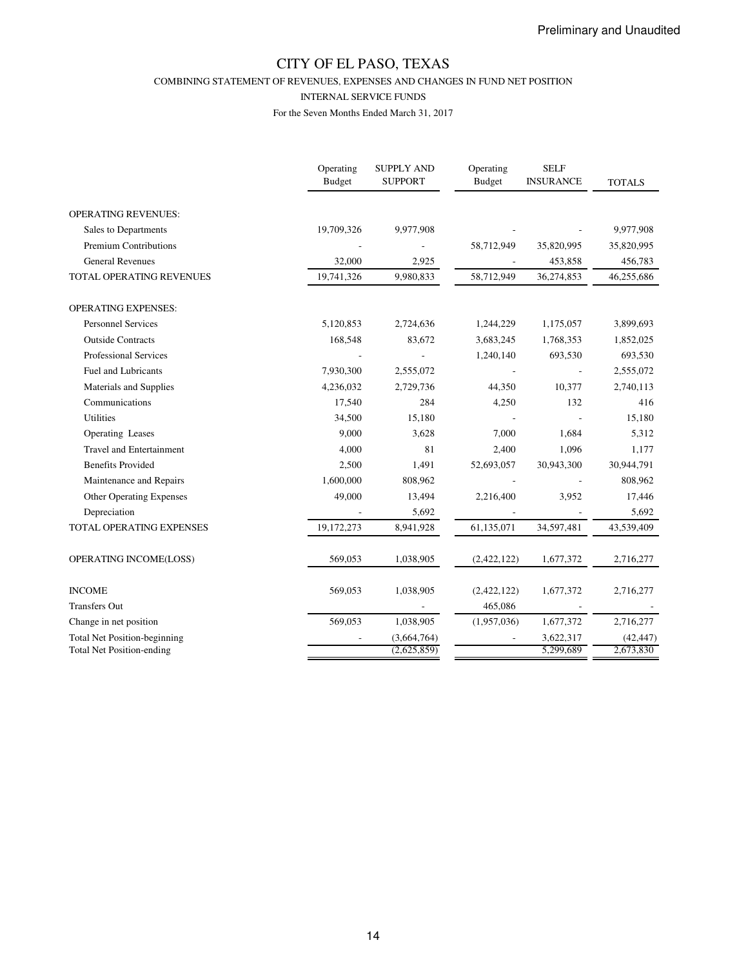COMBINING STATEMENT OF REVENUES, EXPENSES AND CHANGES IN FUND NET POSITION

#### INTERNAL SERVICE FUNDS

|                                     | Operating<br><b>Budget</b> | <b>SUPPLY AND</b><br><b>SUPPORT</b> | Operating<br><b>Budget</b> | <b>SELF</b><br><b>INSURANCE</b> | <b>TOTALS</b> |
|-------------------------------------|----------------------------|-------------------------------------|----------------------------|---------------------------------|---------------|
| <b>OPERATING REVENUES:</b>          |                            |                                     |                            |                                 |               |
| Sales to Departments                | 19,709,326                 | 9,977,908                           |                            |                                 | 9,977,908     |
| Premium Contributions               |                            |                                     | 58,712,949                 | 35,820,995                      | 35,820,995    |
| <b>General Revenues</b>             | 32,000                     | 2,925                               |                            | 453,858                         | 456,783       |
| TOTAL OPERATING REVENUES            | 19,741,326                 | 9,980,833                           | 58,712,949                 | 36,274,853                      | 46,255,686    |
| <b>OPERATING EXPENSES:</b>          |                            |                                     |                            |                                 |               |
| <b>Personnel Services</b>           | 5,120,853                  | 2,724,636                           | 1,244,229                  | 1,175,057                       | 3,899,693     |
| <b>Outside Contracts</b>            | 168,548                    | 83,672                              | 3,683,245                  | 1,768,353                       | 1,852,025     |
| <b>Professional Services</b>        |                            |                                     | 1,240,140                  | 693,530                         | 693,530       |
| <b>Fuel and Lubricants</b>          | 7,930,300                  | 2,555,072                           |                            |                                 | 2,555,072     |
| Materials and Supplies              | 4,236,032                  | 2,729,736                           | 44,350                     | 10,377                          | 2,740,113     |
| Communications                      | 17,540                     | 284                                 | 4,250                      | 132                             | 416           |
| <b>Utilities</b>                    | 34,500                     | 15,180                              |                            |                                 | 15,180        |
| Operating Leases                    | 9,000                      | 3,628                               | 7,000                      | 1,684                           | 5,312         |
| <b>Travel and Entertainment</b>     | 4,000                      | 81                                  | 2,400                      | 1,096                           | 1,177         |
| <b>Benefits Provided</b>            | 2,500                      | 1,491                               | 52,693,057                 | 30,943,300                      | 30,944,791    |
| Maintenance and Repairs             | 1,600,000                  | 808,962                             |                            |                                 | 808,962       |
| Other Operating Expenses            | 49,000                     | 13,494                              | 2,216,400                  | 3,952                           | 17,446        |
| Depreciation                        |                            | 5,692                               |                            |                                 | 5,692         |
| TOTAL OPERATING EXPENSES            | 19,172,273                 | 8,941,928                           | 61,135,071                 | 34,597,481                      | 43,539,409    |
| OPERATING INCOME(LOSS)              | 569,053                    | 1,038,905                           | (2,422,122)                | 1,677,372                       | 2,716,277     |
| <b>INCOME</b>                       | 569,053                    | 1,038,905                           | (2,422,122)                | 1,677,372                       | 2,716,277     |
| <b>Transfers Out</b>                |                            |                                     | 465,086                    |                                 |               |
| Change in net position              | 569,053                    | 1,038,905                           | (1,957,036)                | 1,677,372                       | 2,716,277     |
| <b>Total Net Position-beginning</b> |                            | (3,664,764)                         |                            | 3,622,317                       | (42, 447)     |
| <b>Total Net Position-ending</b>    |                            | (2,625,859)                         |                            | 5,299,689                       | 2,673,830     |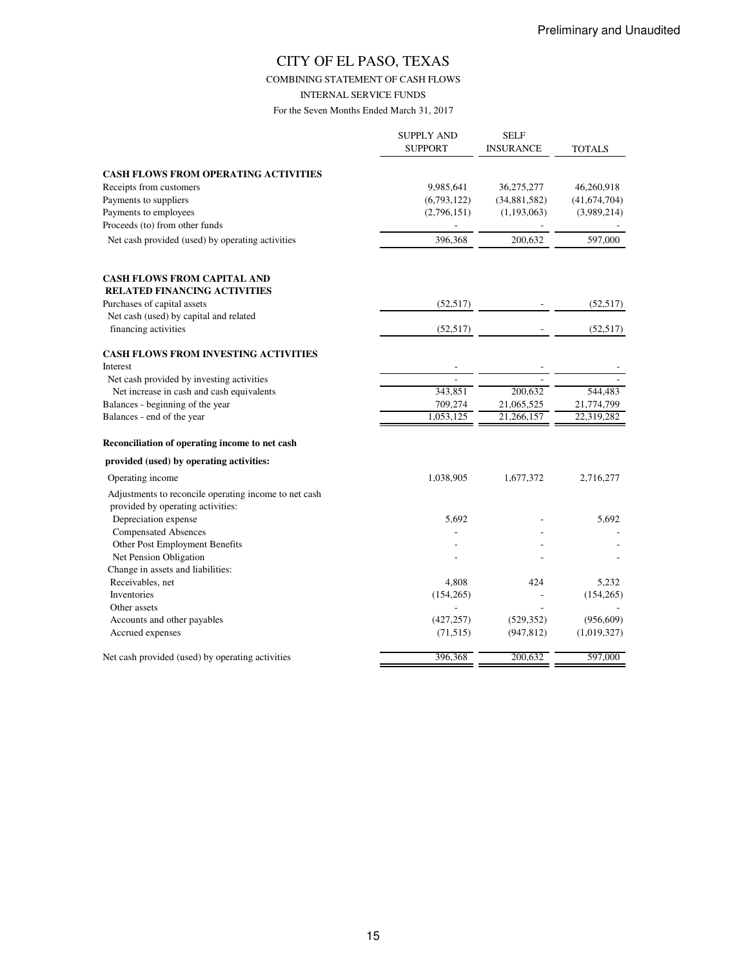COMBINING STATEMENT OF CASH FLOWS

INTERNAL SERVICE FUNDS

|                                                                                            | <b>SUPPLY AND</b><br><b>SUPPORT</b> | <b>SELF</b><br><b>INSURANCE</b> | TOTALS         |
|--------------------------------------------------------------------------------------------|-------------------------------------|---------------------------------|----------------|
| <b>CASH FLOWS FROM OPERATING ACTIVITIES</b>                                                |                                     |                                 |                |
| Receipts from customers                                                                    | 9,985,641                           | 36,275,277                      | 46,260,918     |
| Payments to suppliers                                                                      | (6,793,122)                         | (34,881,582)                    | (41, 674, 704) |
| Payments to employees                                                                      | (2,796,151)                         | (1,193,063)                     | (3,989,214)    |
| Proceeds (to) from other funds                                                             |                                     |                                 |                |
| Net cash provided (used) by operating activities                                           | 396,368                             | 200,632                         | 597,000        |
| <b>CASH FLOWS FROM CAPITAL AND</b>                                                         |                                     |                                 |                |
| <b>RELATED FINANCING ACTIVITIES</b>                                                        |                                     |                                 |                |
| Purchases of capital assets                                                                | (52, 517)                           |                                 | (52, 517)      |
| Net cash (used) by capital and related                                                     |                                     |                                 |                |
| financing activities                                                                       | (52, 517)                           |                                 | (52, 517)      |
| <b>CASH FLOWS FROM INVESTING ACTIVITIES</b>                                                |                                     |                                 |                |
| Interest                                                                                   |                                     |                                 |                |
| Net cash provided by investing activities                                                  |                                     |                                 |                |
| Net increase in cash and cash equivalents                                                  | 343,851                             | 200,632                         | 544,483        |
| Balances - beginning of the year                                                           | 709,274                             | 21,065,525                      | 21,774,799     |
| Balances - end of the year                                                                 | 1,053,125                           | 21,266,157                      | 22,319,282     |
| Reconciliation of operating income to net cash                                             |                                     |                                 |                |
| provided (used) by operating activities:                                                   |                                     |                                 |                |
| Operating income                                                                           | 1,038,905                           | 1,677,372                       | 2,716,277      |
| Adjustments to reconcile operating income to net cash<br>provided by operating activities: |                                     |                                 |                |
| Depreciation expense                                                                       | 5,692                               |                                 | 5,692          |
| <b>Compensated Absences</b>                                                                |                                     |                                 |                |
| Other Post Employment Benefits                                                             |                                     |                                 |                |
| Net Pension Obligation                                                                     |                                     |                                 |                |
| Change in assets and liabilities:                                                          |                                     |                                 |                |
| Receivables, net                                                                           | 4,808                               | 424                             | 5,232          |
| Inventories                                                                                | (154, 265)                          |                                 | (154, 265)     |
| Other assets                                                                               |                                     |                                 |                |
| Accounts and other payables                                                                | (427, 257)                          | (529, 352)                      | (956, 609)     |
| Accrued expenses                                                                           | (71, 515)                           | (947, 812)                      | (1,019,327)    |
| Net cash provided (used) by operating activities                                           | 396,368                             | 200,632                         | 597,000        |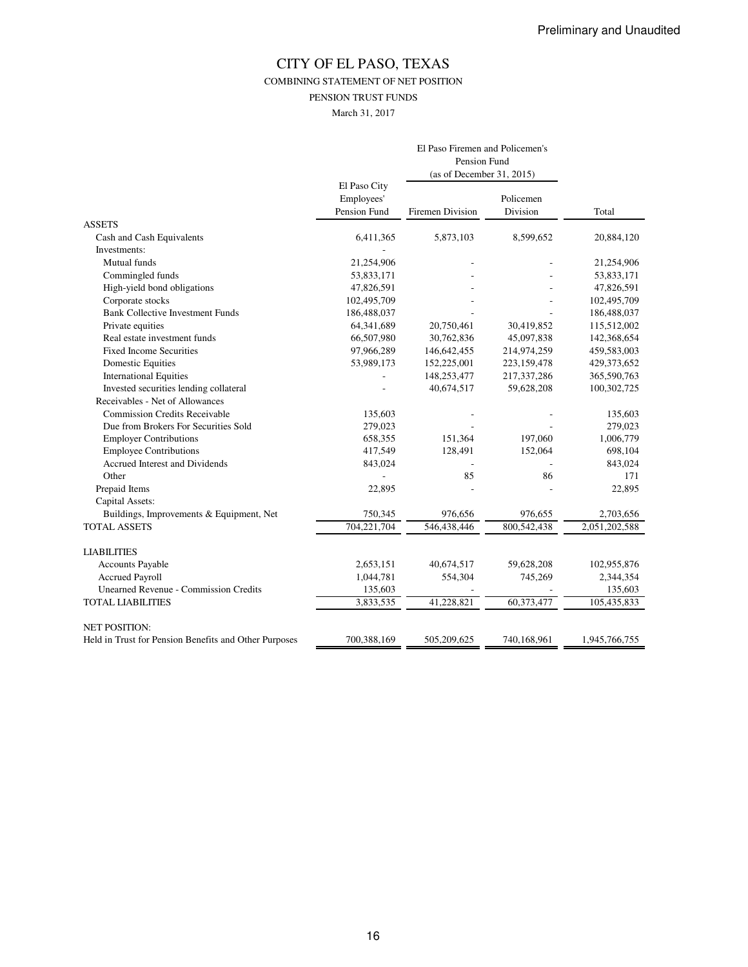COMBINING STATEMENT OF NET POSITION

PENSION TRUST FUNDS

March 31, 2017

|                                                       | El Paso Firemen and Policemen's |                           |             |               |
|-------------------------------------------------------|---------------------------------|---------------------------|-------------|---------------|
|                                                       |                                 | Pension Fund              |             |               |
|                                                       |                                 | (as of December 31, 2015) |             |               |
|                                                       | El Paso City                    |                           |             |               |
|                                                       | Employees'                      |                           | Policemen   |               |
|                                                       | Pension Fund                    | <b>Firemen Division</b>   | Division    | Total         |
| <b>ASSETS</b>                                         |                                 |                           |             |               |
| Cash and Cash Equivalents                             | 6,411,365                       | 5,873,103                 | 8,599,652   | 20,884,120    |
| Investments:                                          |                                 |                           |             |               |
| Mutual funds                                          | 21,254,906                      |                           |             | 21,254,906    |
| Commingled funds                                      | 53,833,171                      |                           |             | 53,833,171    |
| High-yield bond obligations                           | 47,826,591                      |                           |             | 47,826,591    |
| Corporate stocks                                      | 102,495,709                     |                           |             | 102,495,709   |
| <b>Bank Collective Investment Funds</b>               | 186,488,037                     |                           |             | 186,488,037   |
| Private equities                                      | 64,341,689                      | 20,750,461                | 30,419,852  | 115,512,002   |
| Real estate investment funds                          | 66,507,980                      | 30,762,836                | 45,097,838  | 142,368,654   |
| <b>Fixed Income Securities</b>                        | 97,966,289                      | 146,642,455               | 214,974,259 | 459,583,003   |
| <b>Domestic Equities</b>                              | 53,989,173                      | 152,225,001               | 223,159,478 | 429,373,652   |
| <b>International Equities</b>                         |                                 | 148,253,477               | 217,337,286 | 365,590,763   |
| Invested securities lending collateral                |                                 | 40,674,517                | 59,628,208  | 100,302,725   |
| Receivables - Net of Allowances                       |                                 |                           |             |               |
| <b>Commission Credits Receivable</b>                  | 135,603                         |                           |             | 135,603       |
| Due from Brokers For Securities Sold                  | 279,023                         |                           |             | 279,023       |
| <b>Employer Contributions</b>                         | 658,355                         | 151,364                   | 197,060     | 1,006,779     |
| <b>Employee Contributions</b>                         | 417,549                         | 128,491                   | 152,064     | 698,104       |
| Accrued Interest and Dividends                        | 843,024                         |                           |             | 843,024       |
| Other                                                 |                                 | 85                        | 86          | 171           |
| Prepaid Items                                         | 22,895                          |                           |             | 22,895        |
| Capital Assets:                                       |                                 |                           |             |               |
| Buildings, Improvements & Equipment, Net              | 750,345                         | 976,656                   | 976,655     | 2,703,656     |
| <b>TOTAL ASSETS</b>                                   | 704,221,704                     | 546,438,446               | 800,542,438 | 2,051,202,588 |
| <b>LIABILITIES</b>                                    |                                 |                           |             |               |
| Accounts Payable                                      | 2,653,151                       | 40,674,517                | 59,628,208  | 102,955,876   |
| <b>Accrued Payroll</b>                                | 1,044,781                       | 554,304                   | 745,269     | 2,344,354     |
| <b>Unearned Revenue - Commission Credits</b>          | 135,603                         |                           |             | 135,603       |
| <b>TOTAL LIABILITIES</b>                              | 3,833,535                       | 41,228,821                | 60,373,477  | 105,435,833   |
| <b>NET POSITION:</b>                                  |                                 |                           |             |               |
| Held in Trust for Pension Benefits and Other Purposes | 700,388,169                     | 505,209,625               | 740,168,961 | 1,945,766,755 |